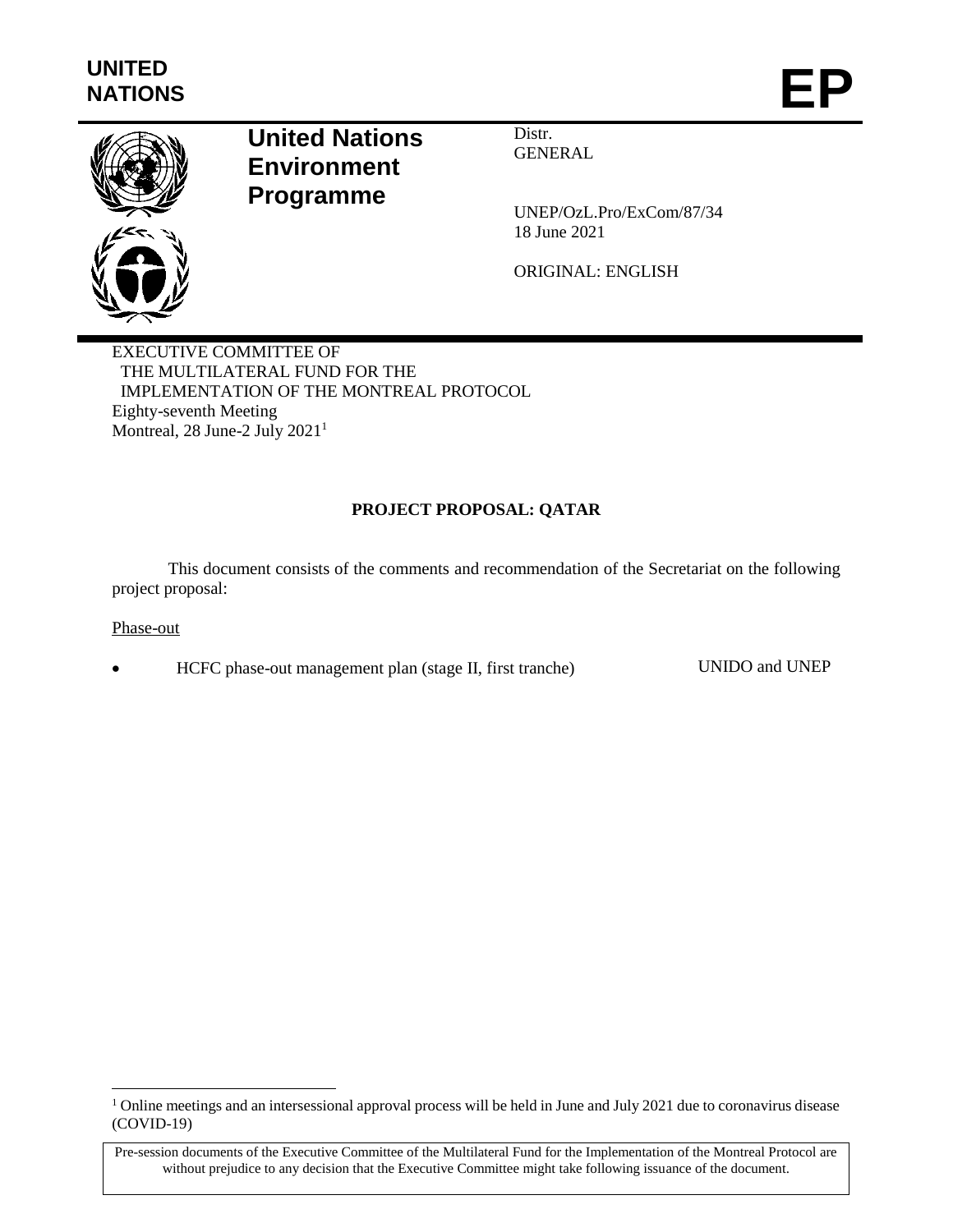

# **United Nations Environment Programme**

Distr. **GENERAL** 

UNEP/OzL.Pro/ExCom/87/34 18 June 2021

ORIGINAL: ENGLISH

EXECUTIVE COMMITTEE OF THE MULTILATERAL FUND FOR THE IMPLEMENTATION OF THE MONTREAL PROTOCOL Eighty-seventh Meeting Montreal, 28 June-2 July 2021<sup>1</sup>

# **PROJECT PROPOSAL: QATAR**

This document consists of the comments and recommendation of the Secretariat on the following project proposal:

### Phase-out

 $\overline{a}$ 

HCFC phase-out management plan (stage II, first tranche) UNIDO and UNEP

<sup>&</sup>lt;sup>1</sup> Online meetings and an intersessional approval process will be held in June and July 2021 due to coronavirus disease (COVID-19)

Pre-session documents of the Executive Committee of the Multilateral Fund for the Implementation of the Montreal Protocol are without prejudice to any decision that the Executive Committee might take following issuance of the document.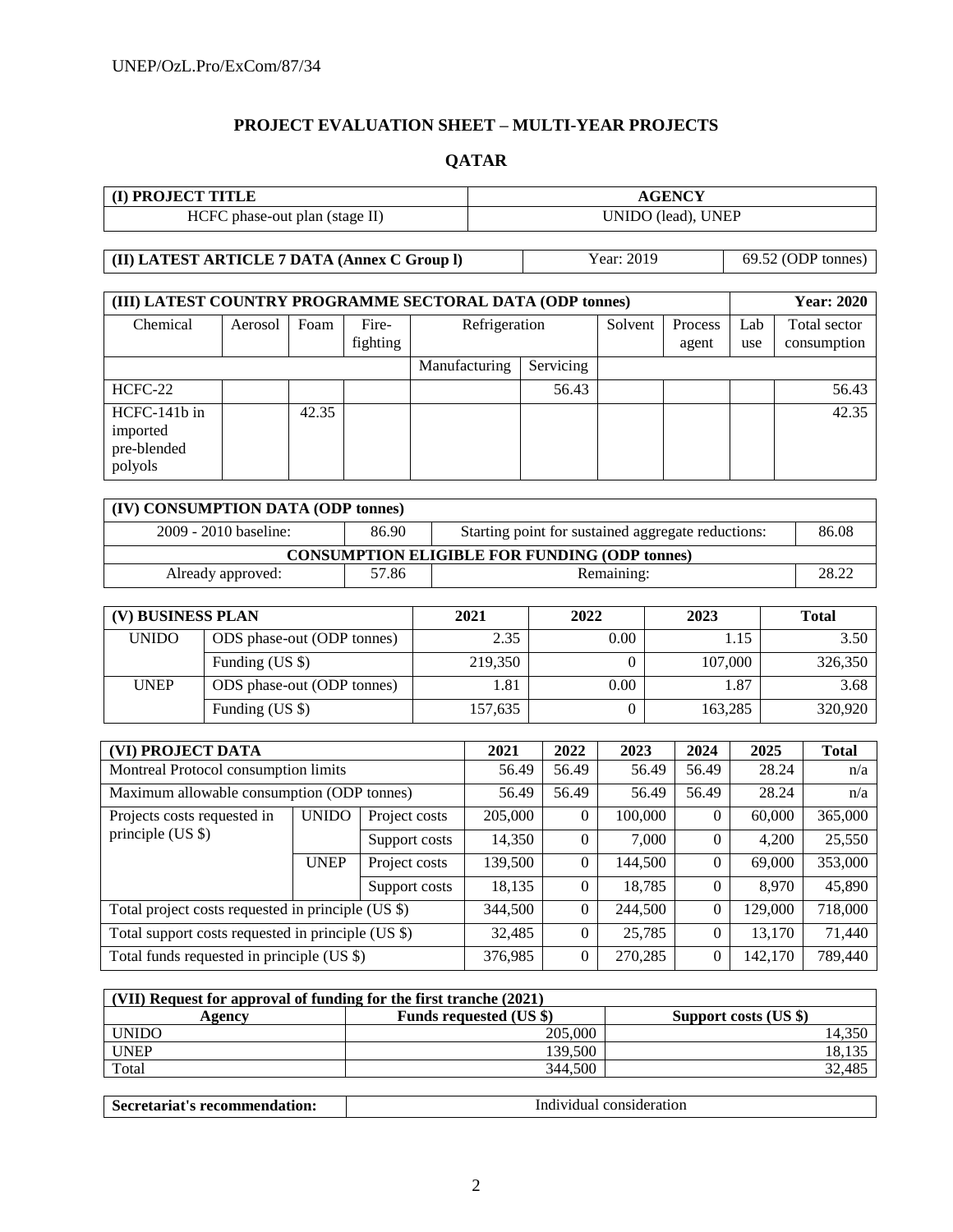# **PROJECT EVALUATION SHEET – MULTI-YEAR PROJECTS**

# **QATAR**

| <b>I) PROJECT TITLE</b>        | <b>AGENCY</b>      |
|--------------------------------|--------------------|
| HCFC phase-out plan (stage II) | UNIDO (lead), UNEP |

**(II) LATEST ARTICLE 7 DATA (Annex C Group I)** Year: 2019 69.52 (ODP tonnes)

| (III) LATEST COUNTRY PROGRAMME SECTORAL DATA (ODP tonnes) |         |       |          |               |           |         |         |     | <b>Year: 2020</b> |
|-----------------------------------------------------------|---------|-------|----------|---------------|-----------|---------|---------|-----|-------------------|
| Chemical                                                  | Aerosol | Foam  | Fire-    | Refrigeration |           | Solvent | Process | Lab | Total sector      |
|                                                           |         |       | fighting |               |           |         | agent   | use | consumption       |
|                                                           |         |       |          | Manufacturing | Servicing |         |         |     |                   |
| HCFC-22                                                   |         |       |          |               | 56.43     |         |         |     | 56.43             |
| HCFC-141b in                                              |         | 42.35 |          |               |           |         |         |     | 42.35             |
| imported                                                  |         |       |          |               |           |         |         |     |                   |
| pre-blended                                               |         |       |          |               |           |         |         |     |                   |
| polyols                                                   |         |       |          |               |           |         |         |     |                   |

| (IV) CONSUMPTION DATA (ODP tonnes) |       |                                                      |       |
|------------------------------------|-------|------------------------------------------------------|-------|
| 2009 - 2010 baseline:              | 86.90 | Starting point for sustained aggregate reductions:   | 86.08 |
|                                    |       | <b>CONSUMPTION ELIGIBLE FOR FUNDING (ODP tonnes)</b> |       |
| Already approved:                  | 57.86 | Remaining:                                           | 28.22 |

| (V) BUSINESS PLAN |                            | 2021    | 2022 | 2023    | <b>Total</b> |
|-------------------|----------------------------|---------|------|---------|--------------|
| <b>UNIDO</b>      | ODS phase-out (ODP tonnes) | 2.35    | 0.00 | 1.15    | 3.50         |
|                   | Funding (US \$)            | 219,350 |      | 107,000 | 326,350      |
| <b>UNEP</b>       | ODS phase-out (ODP tonnes) | 1.81    | 0.00 | . .87   | 3.68         |
|                   | Funding (US \$)            | 157,635 |      | 163,285 | 320,920      |

| (VI) PROJECT DATA                                  |              |               | 2021     | 2022     | 2023     | 2024     | 2025    | <b>Total</b> |
|----------------------------------------------------|--------------|---------------|----------|----------|----------|----------|---------|--------------|
| Montreal Protocol consumption limits               |              |               | 56.49    | 56.49    | 56.49    | 56.49    | 28.24   | n/a          |
| Maximum allowable consumption (ODP tonnes)         |              |               | 56.49    | 56.49    | 56.49    | 56.49    | 28.24   | n/a          |
| Projects costs requested in<br>principle $(US \$   | <b>UNIDO</b> | Project costs | 205,000  | $\theta$ | 100,000  | 0        | 60,000  | 365,000      |
|                                                    |              | Support costs | 14,350   | $\theta$ | 7,000    | $\Omega$ | 4,200   | 25,550       |
|                                                    | <b>UNEP</b>  | Project costs | 139,500  | $\Omega$ | 144,500  | $\Omega$ | 69,000  | 353,000      |
|                                                    |              | Support costs | 18,135   | $\Omega$ | 18,785   | $\Omega$ | 8,970   | 45,890       |
| Total project costs requested in principle (US \$) |              | 344,500       | $\theta$ | 244,500  | 0        | 129,000  | 718,000 |              |
| Total support costs requested in principle (US \$) |              | 32,485        | $\theta$ | 25,785   | $\Omega$ | 13,170   | 71,440  |              |
| Total funds requested in principle (US \$)         |              |               | 376,985  | $\Omega$ | 270,285  | 0        | 142,170 | 789,440      |

| (VII) Request for approval of funding for the first tranche (2021) |                                |                       |  |  |  |  |  |
|--------------------------------------------------------------------|--------------------------------|-----------------------|--|--|--|--|--|
| Agencv                                                             | <b>Funds requested (US \$)</b> | Support costs (US \$) |  |  |  |  |  |
| <b>UNIDO</b>                                                       | 205,000                        | 14,350                |  |  |  |  |  |
| UNEP                                                               | 139.500                        | 18,135                |  |  |  |  |  |
| Total                                                              | 344.500                        | 32,485                |  |  |  |  |  |

| $\overline{\phantom{a}}$<br>aroriot'<br>- secret:<br>: recommendation:<br>ы<br>м | Ind<br>consideration<br>ividua |
|----------------------------------------------------------------------------------|--------------------------------|
|----------------------------------------------------------------------------------|--------------------------------|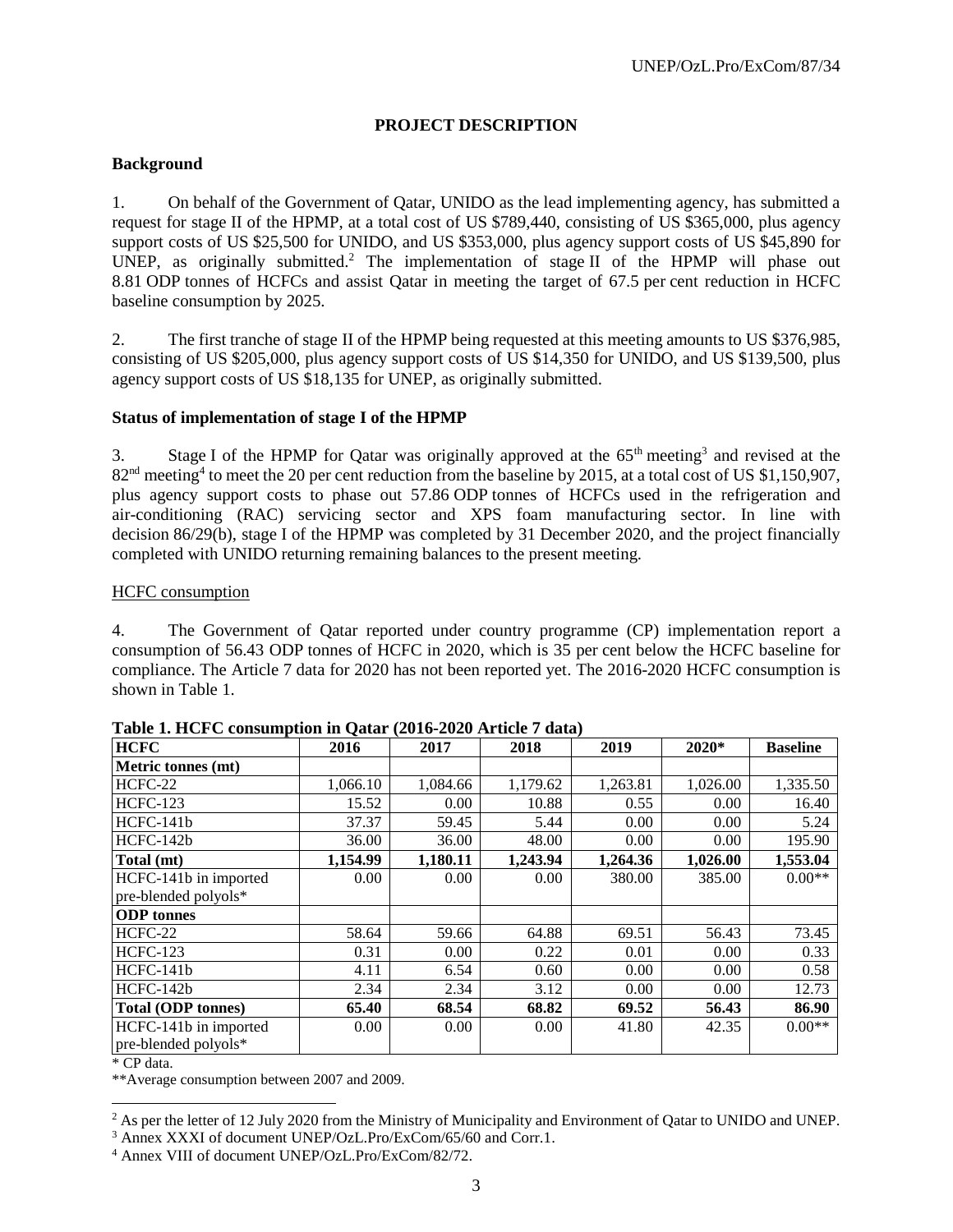# **PROJECT DESCRIPTION**

### **Background**

1. On behalf of the Government of Qatar, UNIDO as the lead implementing agency, has submitted a request for stage II of the HPMP, at a total cost of US \$789,440, consisting of US \$365,000, plus agency support costs of US \$25,500 for UNIDO, and US \$353,000, plus agency support costs of US \$45,890 for UNEP, as originally submitted.<sup>2</sup> The implementation of stage II of the HPMP will phase out 8.81 ODP tonnes of HCFCs and assist Qatar in meeting the target of 67.5 per cent reduction in HCFC baseline consumption by 2025.

2. The first tranche of stage II of the HPMP being requested at this meeting amounts to US \$376,985, consisting of US \$205,000, plus agency support costs of US \$14,350 for UNIDO, and US \$139,500, plus agency support costs of US \$18,135 for UNEP, as originally submitted.

#### **Status of implementation of stage I of the HPMP**

3. Stage I of the HPMP for Qatar was originally approved at the  $65<sup>th</sup>$  meeting<sup>3</sup> and revised at the 82<sup>nd</sup> meeting<sup>4</sup> to meet the 20 per cent reduction from the baseline by 2015, at a total cost of US \$1,150,907, plus agency support costs to phase out 57.86 ODP tonnes of HCFCs used in the refrigeration and air-conditioning (RAC) servicing sector and XPS foam manufacturing sector. In line with decision 86/29(b), stage I of the HPMP was completed by 31 December 2020, and the project financially completed with UNIDO returning remaining balances to the present meeting.

#### HCFC consumption

4. The Government of Qatar reported under country programme (CP) implementation report a consumption of 56.43 ODP tonnes of HCFC in 2020, which is 35 per cent below the HCFC baseline for compliance. The Article 7 data for 2020 has not been reported yet. The 2016-2020 HCFC consumption is shown in Table 1.

| rabic 1. Here $\epsilon$ consumption in Quan (2010–2020 in tier / data)<br><b>HCFC</b> | 2016     | 2017     | 2018     | 2019     | 2020*    | <b>Baseline</b> |
|----------------------------------------------------------------------------------------|----------|----------|----------|----------|----------|-----------------|
| Metric tonnes (mt)                                                                     |          |          |          |          |          |                 |
| HCFC-22                                                                                | 1,066.10 | 1,084.66 | 1,179.62 | 1,263.81 | 1,026.00 | 1,335.50        |
| <b>HCFC-123</b>                                                                        | 15.52    | 0.00     | 10.88    | 0.55     | 0.00     | 16.40           |
| HCFC-141b                                                                              | 37.37    | 59.45    | 5.44     | 0.00     | 0.00     | 5.24            |
| HCFC-142b                                                                              | 36.00    | 36.00    | 48.00    | 0.00     | 0.00     | 195.90          |
| Total (mt)                                                                             | 1,154.99 | 1,180.11 | 1,243.94 | 1,264.36 | 1,026.00 | 1,553.04        |
| HCFC-141b in imported                                                                  | 0.00     | 0.00     | 0.00     | 380.00   | 385.00   | $0.00**$        |
| pre-blended polyols*                                                                   |          |          |          |          |          |                 |
| <b>ODP</b> tonnes                                                                      |          |          |          |          |          |                 |
| HCFC-22                                                                                | 58.64    | 59.66    | 64.88    | 69.51    | 56.43    | 73.45           |
| <b>HCFC-123</b>                                                                        | 0.31     | 0.00     | 0.22     | 0.01     | 0.00     | 0.33            |
| HCFC-141b                                                                              | 4.11     | 6.54     | 0.60     | 0.00     | 0.00     | 0.58            |
| HCFC-142b                                                                              | 2.34     | 2.34     | 3.12     | 0.00     | 0.00     | 12.73           |
| <b>Total (ODP tonnes)</b>                                                              | 65.40    | 68.54    | 68.82    | 69.52    | 56.43    | 86.90           |
| HCFC-141b in imported                                                                  | 0.00     | 0.00     | 0.00     | 41.80    | 42.35    | $0.00**$        |
| pre-blended polyols*                                                                   |          |          |          |          |          |                 |

\* CP data.

l

\*\*Average consumption between 2007 and 2009.

<sup>&</sup>lt;sup>2</sup> As per the letter of 12 July 2020 from the Ministry of Municipality and Environment of Qatar to UNIDO and UNEP.

<sup>&</sup>lt;sup>3</sup> Annex XXXI of document UNEP/OzL.Pro/ExCom/65/60 and Corr.1.

<sup>4</sup> Annex VIII of document UNEP/OzL.Pro/ExCom/82/72.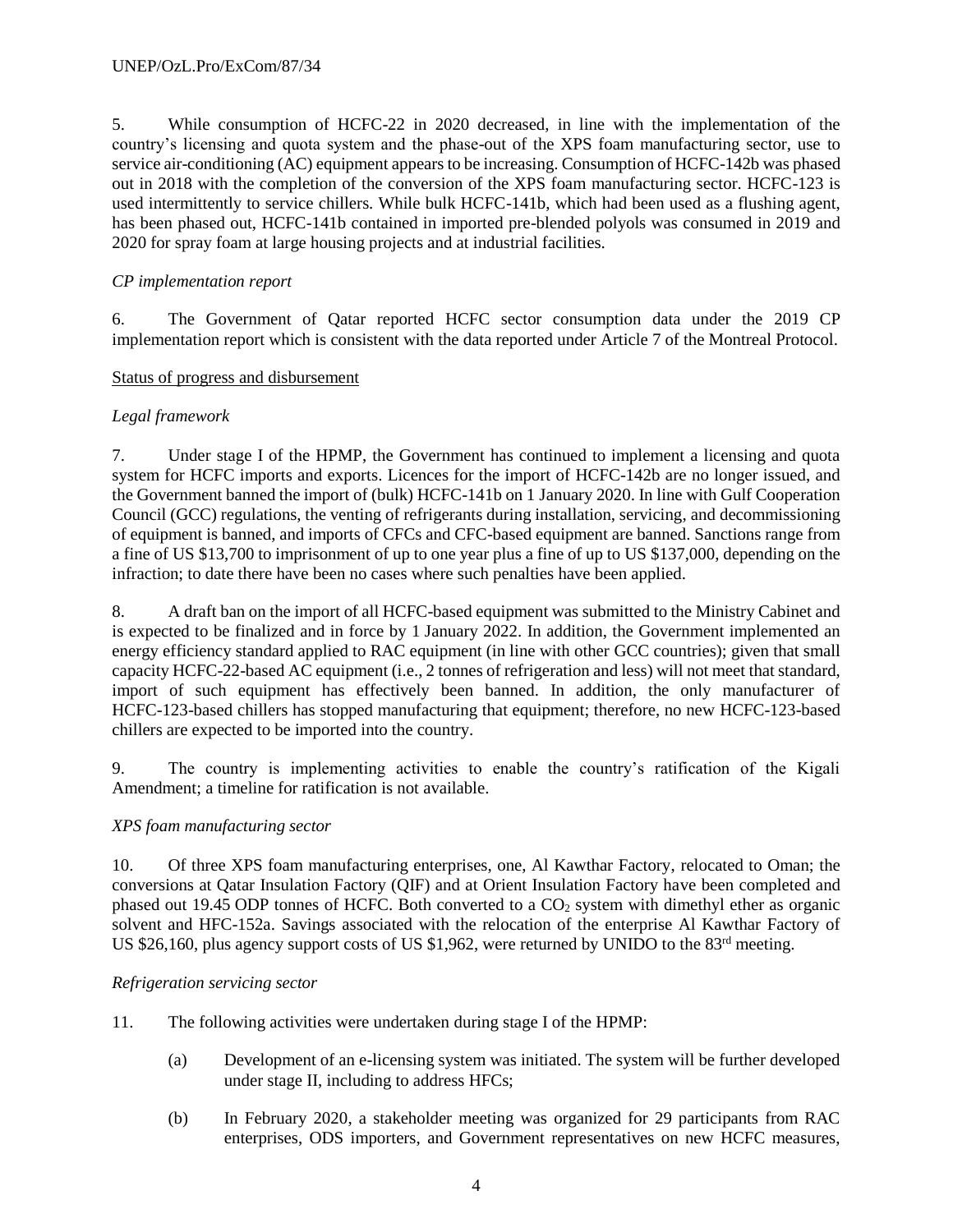5. While consumption of HCFC-22 in 2020 decreased, in line with the implementation of the country's licensing and quota system and the phase-out of the XPS foam manufacturing sector, use to service air-conditioning (AC) equipment appears to be increasing. Consumption of HCFC-142b was phased out in 2018 with the completion of the conversion of the XPS foam manufacturing sector. HCFC-123 is used intermittently to service chillers. While bulk HCFC-141b, which had been used as a flushing agent, has been phased out, HCFC-141b contained in imported pre-blended polyols was consumed in 2019 and 2020 for spray foam at large housing projects and at industrial facilities.

# *CP implementation report*

6. The Government of Qatar reported HCFC sector consumption data under the 2019 CP implementation report which is consistent with the data reported under Article 7 of the Montreal Protocol.

## Status of progress and disbursement

# *Legal framework*

7. Under stage I of the HPMP, the Government has continued to implement a licensing and quota system for HCFC imports and exports. Licences for the import of HCFC-142b are no longer issued, and the Government banned the import of (bulk) HCFC-141b on 1 January 2020. In line with Gulf Cooperation Council (GCC) regulations, the venting of refrigerants during installation, servicing, and decommissioning of equipment is banned, and imports of CFCs and CFC-based equipment are banned. Sanctions range from a fine of US \$13,700 to imprisonment of up to one year plus a fine of up to US \$137,000, depending on the infraction; to date there have been no cases where such penalties have been applied.

8. A draft ban on the import of all HCFC-based equipment was submitted to the Ministry Cabinet and is expected to be finalized and in force by 1 January 2022. In addition, the Government implemented an energy efficiency standard applied to RAC equipment (in line with other GCC countries); given that small capacity HCFC-22-based AC equipment (i.e., 2 tonnes of refrigeration and less) will not meet that standard, import of such equipment has effectively been banned. In addition, the only manufacturer of HCFC-123-based chillers has stopped manufacturing that equipment; therefore, no new HCFC-123-based chillers are expected to be imported into the country.

9. The country is implementing activities to enable the country's ratification of the Kigali Amendment; a timeline for ratification is not available.

# *XPS foam manufacturing sector*

10. Of three XPS foam manufacturing enterprises, one, Al Kawthar Factory, relocated to Oman; the conversions at Qatar Insulation Factory (QIF) and at Orient Insulation Factory have been completed and phased out 19.45 ODP tonnes of HCFC. Both converted to a  $CO<sub>2</sub>$  system with dimethyl ether as organic solvent and HFC-152a. Savings associated with the relocation of the enterprise Al Kawthar Factory of US \$26,160, plus agency support costs of US \$1,962, were returned by UNIDO to the 83<sup>rd</sup> meeting.

### *Refrigeration servicing sector*

- 11. The following activities were undertaken during stage I of the HPMP:
	- (a) Development of an e-licensing system was initiated. The system will be further developed under stage II, including to address HFCs;
	- (b) In February 2020, a stakeholder meeting was organized for 29 participants from RAC enterprises, ODS importers, and Government representatives on new HCFC measures,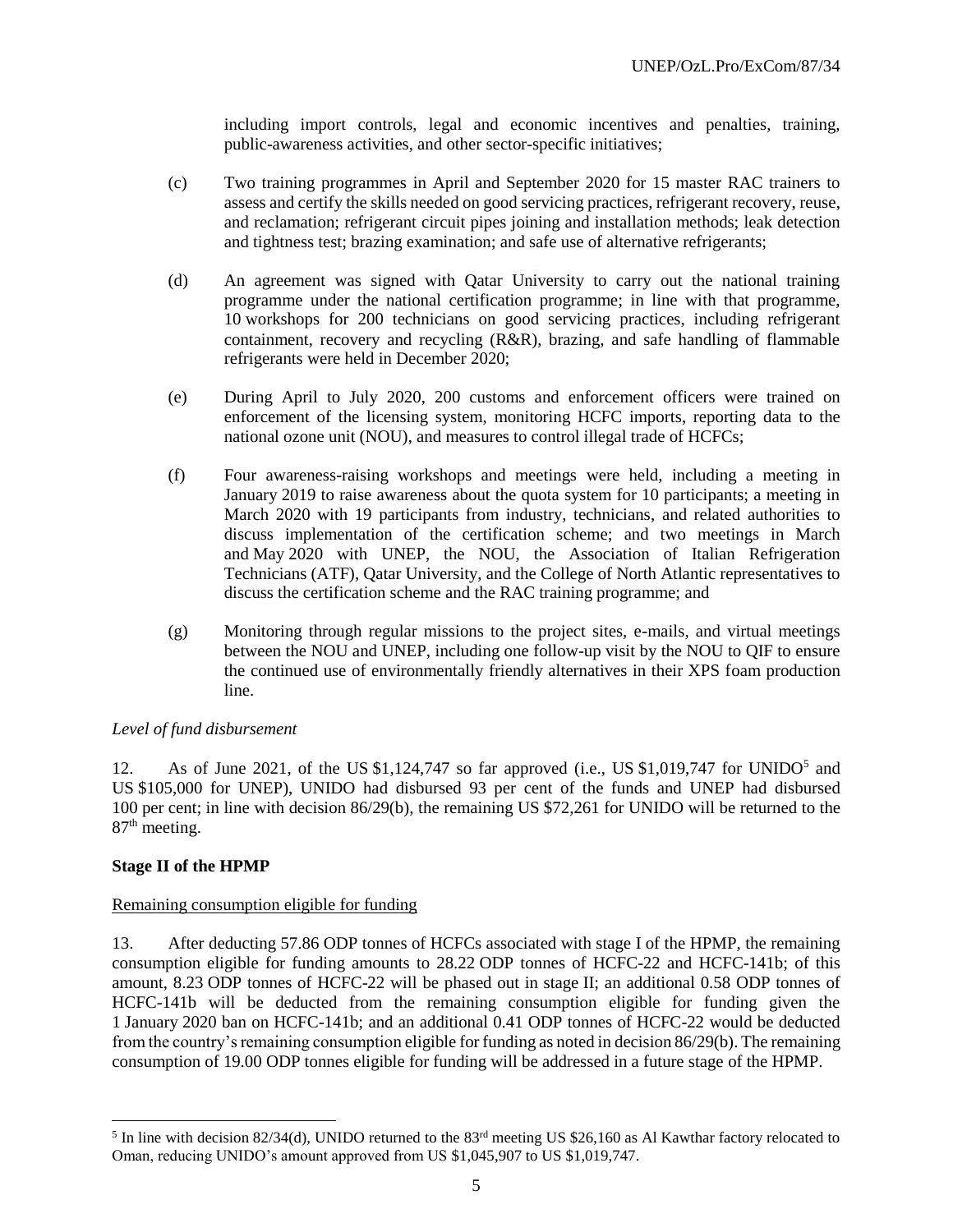including import controls, legal and economic incentives and penalties, training, public-awareness activities, and other sector-specific initiatives;

- (c) Two training programmes in April and September 2020 for 15 master RAC trainers to assess and certify the skills needed on good servicing practices, refrigerant recovery, reuse, and reclamation; refrigerant circuit pipes joining and installation methods; leak detection and tightness test; brazing examination; and safe use of alternative refrigerants;
- (d) An agreement was signed with Qatar University to carry out the national training programme under the national certification programme; in line with that programme, 10 workshops for 200 technicians on good servicing practices, including refrigerant containment, recovery and recycling (R&R), brazing, and safe handling of flammable refrigerants were held in December 2020;
- (e) During April to July 2020, 200 customs and enforcement officers were trained on enforcement of the licensing system, monitoring HCFC imports, reporting data to the national ozone unit (NOU), and measures to control illegal trade of HCFCs;
- (f) Four awareness-raising workshops and meetings were held, including a meeting in January 2019 to raise awareness about the quota system for 10 participants; a meeting in March 2020 with 19 participants from industry, technicians, and related authorities to discuss implementation of the certification scheme; and two meetings in March and May 2020 with UNEP, the NOU, the Association of Italian Refrigeration Technicians (ATF), Qatar University, and the College of North Atlantic representatives to discuss the certification scheme and the RAC training programme; and
- (g) Monitoring through regular missions to the project sites, e-mails, and virtual meetings between the NOU and UNEP, including one follow-up visit by the NOU to QIF to ensure the continued use of environmentally friendly alternatives in their XPS foam production line.

### *Level of fund disbursement*

12. As of June 2021, of the US \$1,124,747 so far approved (i.e., US \$1,019,747 for UNIDO<sup>5</sup> and US \$105,000 for UNEP), UNIDO had disbursed 93 per cent of the funds and UNEP had disbursed 100 per cent; in line with decision 86/29(b), the remaining US \$72,261 for UNIDO will be returned to the 87<sup>th</sup> meeting.

### **Stage II of the HPMP**

 $\overline{a}$ 

#### Remaining consumption eligible for funding

13. After deducting 57.86 ODP tonnes of HCFCs associated with stage I of the HPMP, the remaining consumption eligible for funding amounts to 28.22 ODP tonnes of HCFC-22 and HCFC-141b; of this amount, 8.23 ODP tonnes of HCFC-22 will be phased out in stage II; an additional 0.58 ODP tonnes of HCFC-141b will be deducted from the remaining consumption eligible for funding given the 1 January 2020 ban on HCFC-141b; and an additional 0.41 ODP tonnes of HCFC-22 would be deducted from the country's remaining consumption eligible for funding as noted in decision 86/29(b). The remaining consumption of 19.00 ODP tonnes eligible for funding will be addressed in a future stage of the HPMP.

<sup>&</sup>lt;sup>5</sup> In line with decision 82/34(d), UNIDO returned to the 83<sup>rd</sup> meeting US \$26,160 as Al Kawthar factory relocated to Oman, reducing UNIDO's amount approved from US \$1,045,907 to US \$1,019,747.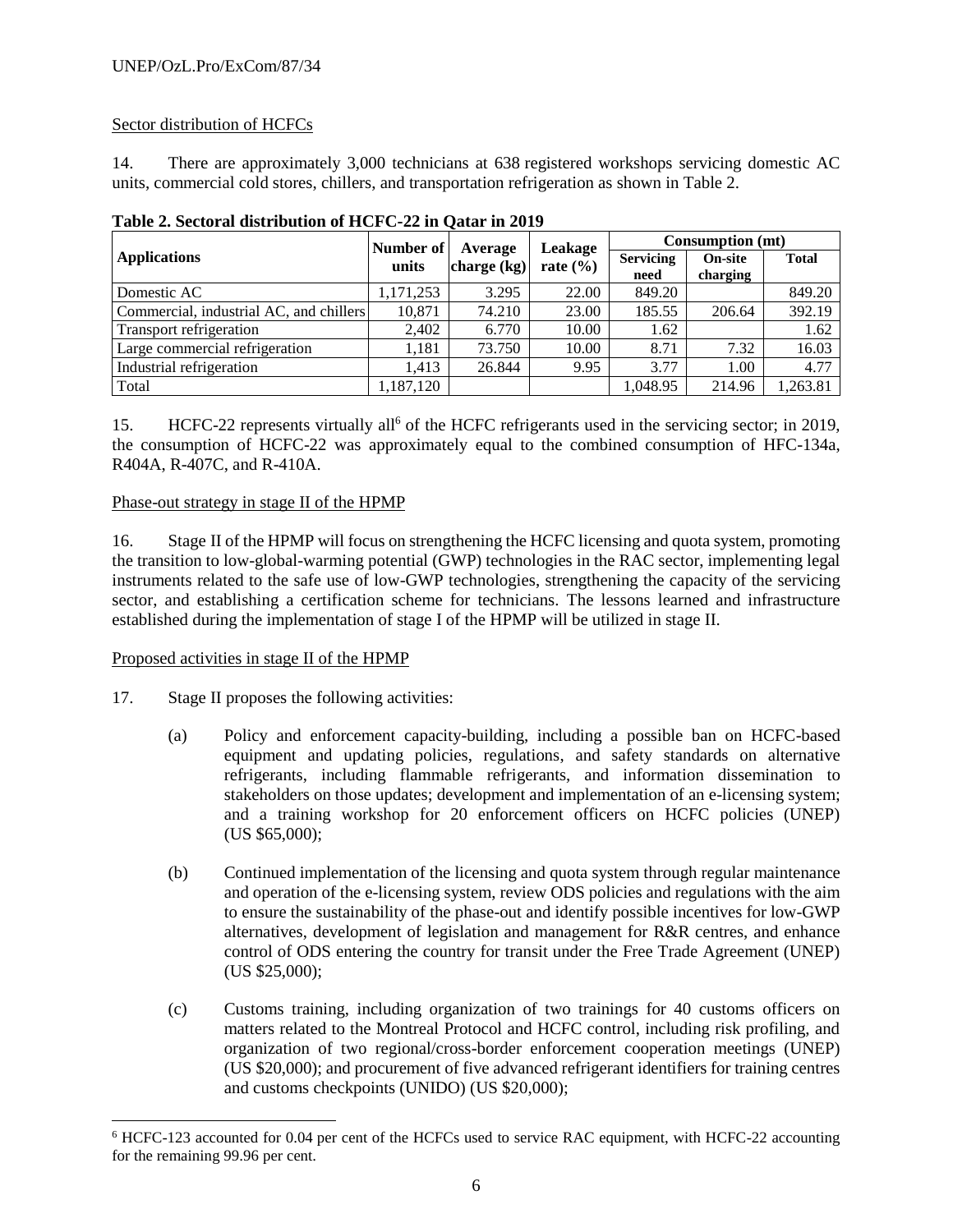# Sector distribution of HCFCs

14. There are approximately 3,000 technicians at 638 registered workshops servicing domestic AC units, commercial cold stores, chillers, and transportation refrigeration as shown in Table 2.

|                                         | Number of | Average       | <b>Leakage</b> | Consumption (mt)         |                            |              |  |
|-----------------------------------------|-----------|---------------|----------------|--------------------------|----------------------------|--------------|--|
| <b>Applications</b>                     | units     | charge $(kg)$ | rate $(\% )$   | <b>Servicing</b><br>need | <b>On-site</b><br>charging | <b>Total</b> |  |
| Domestic AC                             | 1,171,253 | 3.295         | 22.00          | 849.20                   |                            | 849.20       |  |
| Commercial, industrial AC, and chillers | 10,871    | 74.210        | 23.00          | 185.55                   | 206.64                     | 392.19       |  |
| Transport refrigeration                 | 2,402     | 6.770         | 10.00          | 1.62                     |                            | 1.62         |  |
| Large commercial refrigeration          | 1,181     | 73.750        | 10.00          | 8.71                     | 7.32                       | 16.03        |  |
| Industrial refrigeration                | 1.413     | 26.844        | 9.95           | 3.77                     | 1.00                       | 4.77         |  |
| Total                                   | 1,187,120 |               |                | 1,048.95                 | 214.96                     | 1,263.81     |  |

| Table 2. Sectoral distribution of HCFC-22 in Qatar in 2019 |
|------------------------------------------------------------|
|------------------------------------------------------------|

15. HCFC-22 represents virtually all<sup>6</sup> of the HCFC refrigerants used in the servicing sector; in 2019, the consumption of HCFC-22 was approximately equal to the combined consumption of HFC-134a, R404A, R-407C, and R-410A.

### Phase-out strategy in stage II of the HPMP

16. Stage II of the HPMP will focus on strengthening the HCFC licensing and quota system, promoting the transition to low-global-warming potential (GWP) technologies in the RAC sector, implementing legal instruments related to the safe use of low-GWP technologies, strengthening the capacity of the servicing sector, and establishing a certification scheme for technicians. The lessons learned and infrastructure established during the implementation of stage I of the HPMP will be utilized in stage II.

### Proposed activities in stage II of the HPMP

 $\overline{a}$ 

- 17. Stage II proposes the following activities:
	- (a) Policy and enforcement capacity-building, including a possible ban on HCFC-based equipment and updating policies, regulations, and safety standards on alternative refrigerants, including flammable refrigerants, and information dissemination to stakeholders on those updates; development and implementation of an e-licensing system; and a training workshop for 20 enforcement officers on HCFC policies (UNEP) (US \$65,000);
	- (b) Continued implementation of the licensing and quota system through regular maintenance and operation of the e-licensing system, review ODS policies and regulations with the aim to ensure the sustainability of the phase-out and identify possible incentives for low-GWP alternatives, development of legislation and management for R&R centres, and enhance control of ODS entering the country for transit under the Free Trade Agreement (UNEP) (US \$25,000);
	- (c) Customs training, including organization of two trainings for 40 customs officers on matters related to the Montreal Protocol and HCFC control, including risk profiling, and organization of two regional/cross-border enforcement cooperation meetings (UNEP) (US \$20,000); and procurement of five advanced refrigerant identifiers for training centres and customs checkpoints (UNIDO) (US \$20,000);

<sup>6</sup> HCFC-123 accounted for 0.04 per cent of the HCFCs used to service RAC equipment, with HCFC-22 accounting for the remaining 99.96 per cent.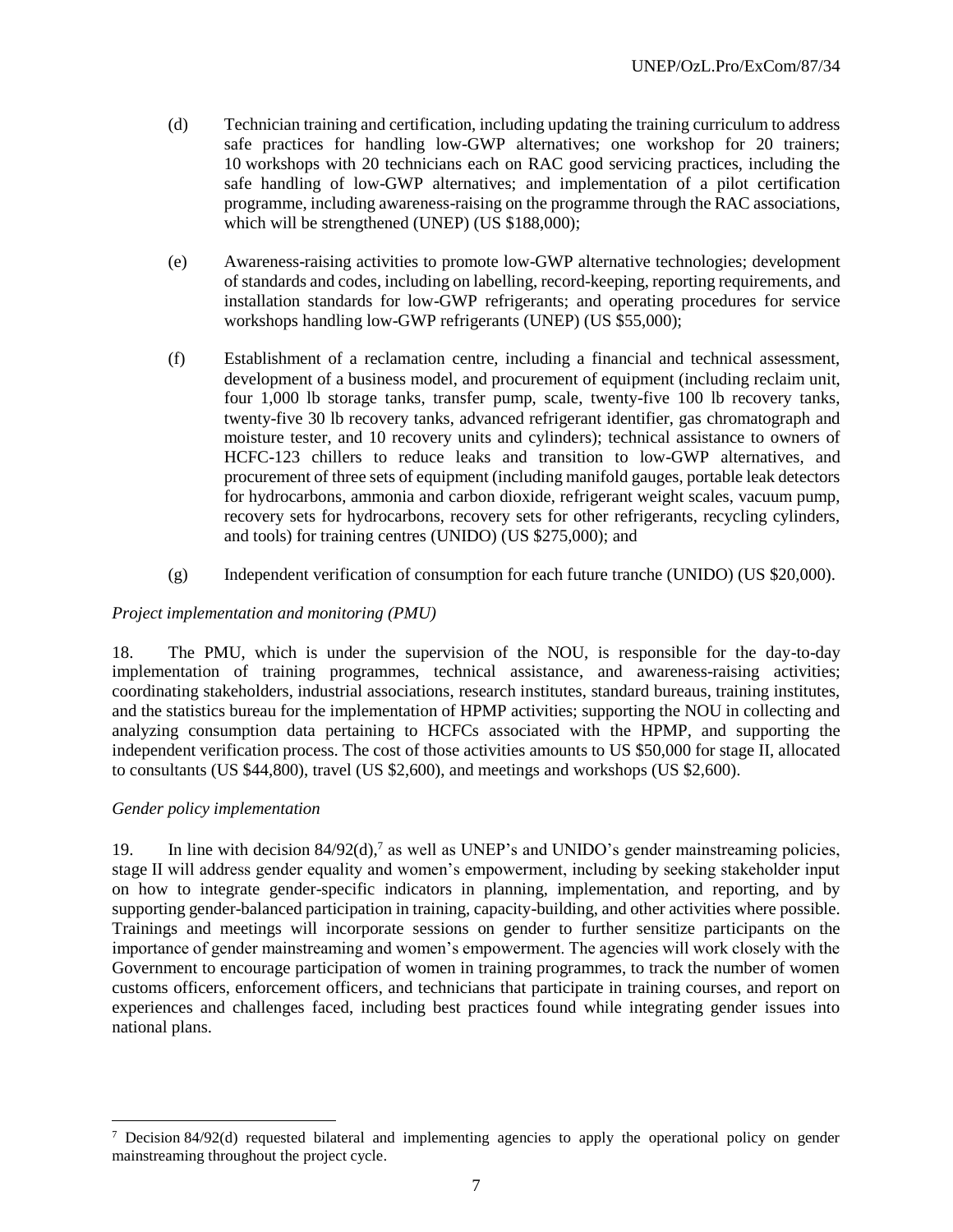- (d) Technician training and certification, including updating the training curriculum to address safe practices for handling low-GWP alternatives; one workshop for 20 trainers; 10 workshops with 20 technicians each on RAC good servicing practices, including the safe handling of low-GWP alternatives; and implementation of a pilot certification programme, including awareness-raising on the programme through the RAC associations, which will be strengthened (UNEP) (US \$188,000);
- (e) Awareness-raising activities to promote low-GWP alternative technologies; development of standards and codes, including on labelling, record-keeping, reporting requirements, and installation standards for low-GWP refrigerants; and operating procedures for service workshops handling low-GWP refrigerants (UNEP) (US \$55,000);
- (f) Establishment of a reclamation centre, including a financial and technical assessment, development of a business model, and procurement of equipment (including reclaim unit, four 1,000 lb storage tanks, transfer pump, scale, twenty-five 100 lb recovery tanks, twenty-five 30 lb recovery tanks, advanced refrigerant identifier, gas chromatograph and moisture tester, and 10 recovery units and cylinders); technical assistance to owners of HCFC-123 chillers to reduce leaks and transition to low-GWP alternatives, and procurement of three sets of equipment (including manifold gauges, portable leak detectors for hydrocarbons, ammonia and carbon dioxide, refrigerant weight scales, vacuum pump, recovery sets for hydrocarbons, recovery sets for other refrigerants, recycling cylinders, and tools) for training centres (UNIDO) (US \$275,000); and
- (g) Independent verification of consumption for each future tranche (UNIDO) (US \$20,000).

# *Project implementation and monitoring (PMU)*

18. The PMU, which is under the supervision of the NOU, is responsible for the day-to-day implementation of training programmes, technical assistance, and awareness-raising activities; coordinating stakeholders, industrial associations, research institutes, standard bureaus, training institutes, and the statistics bureau for the implementation of HPMP activities; supporting the NOU in collecting and analyzing consumption data pertaining to HCFCs associated with the HPMP, and supporting the independent verification process. The cost of those activities amounts to US \$50,000 for stage II, allocated to consultants (US \$44,800), travel (US \$2,600), and meetings and workshops (US \$2,600).

### *Gender policy implementation*

 $\overline{a}$ 

19. In line with decision  $84/92(d)$ ,<sup>7</sup> as well as UNEP's and UNIDO's gender mainstreaming policies, stage II will address gender equality and women's empowerment, including by seeking stakeholder input on how to integrate gender-specific indicators in planning, implementation, and reporting, and by supporting gender-balanced participation in training, capacity-building, and other activities where possible. Trainings and meetings will incorporate sessions on gender to further sensitize participants on the importance of gender mainstreaming and women's empowerment. The agencies will work closely with the Government to encourage participation of women in training programmes, to track the number of women customs officers, enforcement officers, and technicians that participate in training courses, and report on experiences and challenges faced, including best practices found while integrating gender issues into national plans.

 $7$  Decision 84/92(d) requested bilateral and implementing agencies to apply the operational policy on gender mainstreaming throughout the project cycle.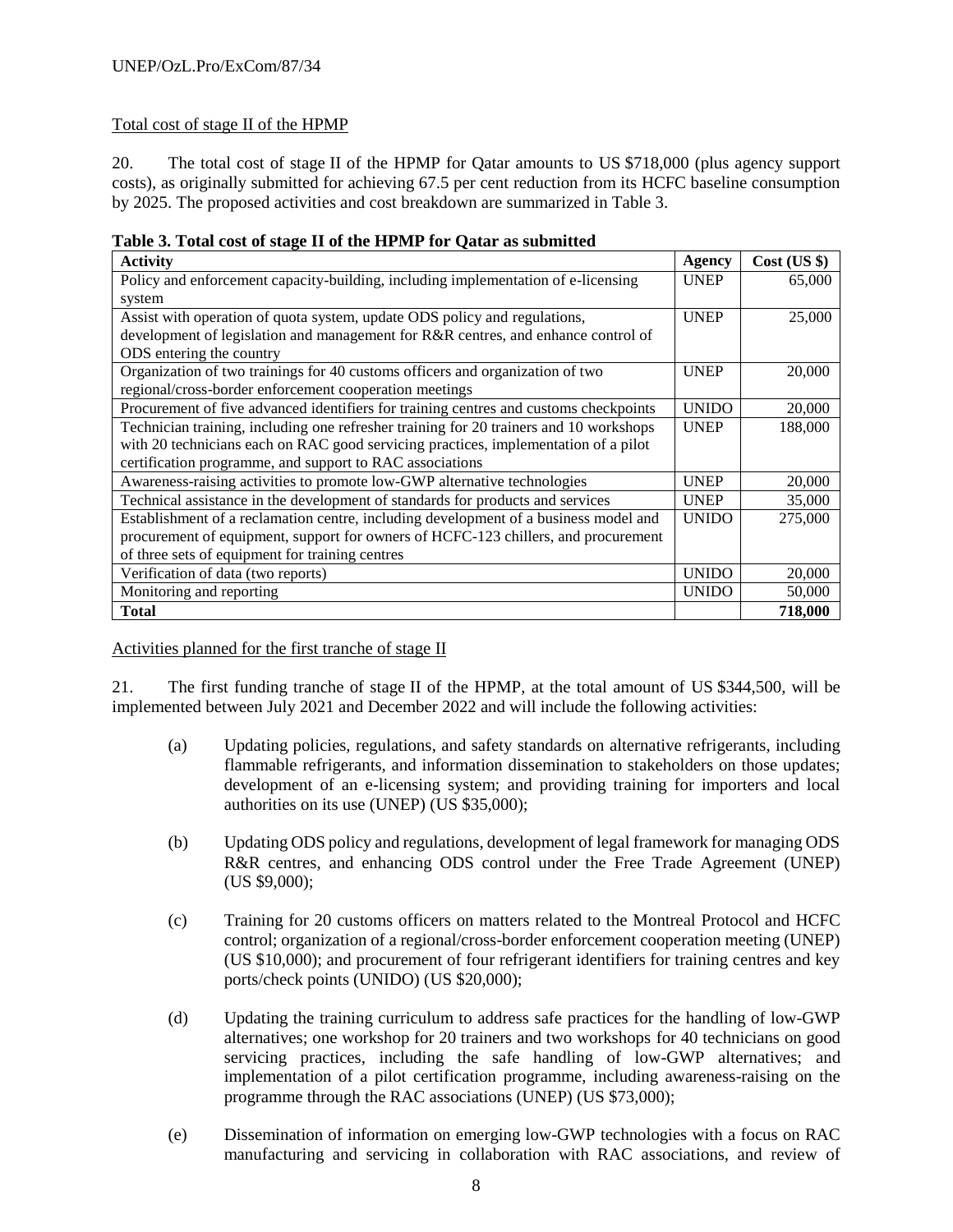# Total cost of stage II of the HPMP

20. The total cost of stage II of the HPMP for Qatar amounts to US \$718,000 (plus agency support costs), as originally submitted for achieving 67.5 per cent reduction from its HCFC baseline consumption by 2025. The proposed activities and cost breakdown are summarized in Table 3.

| <b>Activity</b>                                                                        | <b>Agency</b> | $Cost$ (US $\})$ |
|----------------------------------------------------------------------------------------|---------------|------------------|
| Policy and enforcement capacity-building, including implementation of e-licensing      | <b>UNEP</b>   | 65,000           |
| system                                                                                 |               |                  |
| Assist with operation of quota system, update ODS policy and regulations,              | <b>UNEP</b>   | 25,000           |
| development of legislation and management for R&R centres, and enhance control of      |               |                  |
| ODS entering the country                                                               |               |                  |
| Organization of two trainings for 40 customs officers and organization of two          | <b>UNEP</b>   | 20,000           |
| regional/cross-border enforcement cooperation meetings                                 |               |                  |
| Procurement of five advanced identifiers for training centres and customs checkpoints  | <b>UNIDO</b>  | 20,000           |
| Technician training, including one refresher training for 20 trainers and 10 workshops | <b>UNEP</b>   | 188,000          |
| with 20 technicians each on RAC good servicing practices, implementation of a pilot    |               |                  |
| certification programme, and support to RAC associations                               |               |                  |
| Awareness-raising activities to promote low-GWP alternative technologies               | <b>UNEP</b>   | 20,000           |
| Technical assistance in the development of standards for products and services         | <b>UNEP</b>   | 35,000           |
| Establishment of a reclamation centre, including development of a business model and   | <b>UNIDO</b>  | 275,000          |
| procurement of equipment, support for owners of HCFC-123 chillers, and procurement     |               |                  |
| of three sets of equipment for training centres                                        |               |                  |
| Verification of data (two reports)                                                     | <b>UNIDO</b>  | 20,000           |
| Monitoring and reporting                                                               | <b>UNIDO</b>  | 50,000           |
| <b>Total</b>                                                                           |               | 718,000          |

| Table 3. Total cost of stage II of the HPMP for Qatar as submitted |
|--------------------------------------------------------------------|
|--------------------------------------------------------------------|

Activities planned for the first tranche of stage II

21. The first funding tranche of stage II of the HPMP, at the total amount of US \$344,500, will be implemented between July 2021 and December 2022 and will include the following activities:

- (a) Updating policies, regulations, and safety standards on alternative refrigerants, including flammable refrigerants, and information dissemination to stakeholders on those updates; development of an e-licensing system; and providing training for importers and local authorities on its use (UNEP) (US \$35,000);
- (b) Updating ODS policy and regulations, development of legal framework for managing ODS R&R centres, and enhancing ODS control under the Free Trade Agreement (UNEP) (US \$9,000);
- (c) Training for 20 customs officers on matters related to the Montreal Protocol and HCFC control; organization of a regional/cross-border enforcement cooperation meeting (UNEP) (US \$10,000); and procurement of four refrigerant identifiers for training centres and key ports/check points (UNIDO) (US \$20,000);
- (d) Updating the training curriculum to address safe practices for the handling of low-GWP alternatives; one workshop for 20 trainers and two workshops for 40 technicians on good servicing practices, including the safe handling of low-GWP alternatives; and implementation of a pilot certification programme, including awareness-raising on the programme through the RAC associations (UNEP) (US \$73,000);
- (e) Dissemination of information on emerging low-GWP technologies with a focus on RAC manufacturing and servicing in collaboration with RAC associations, and review of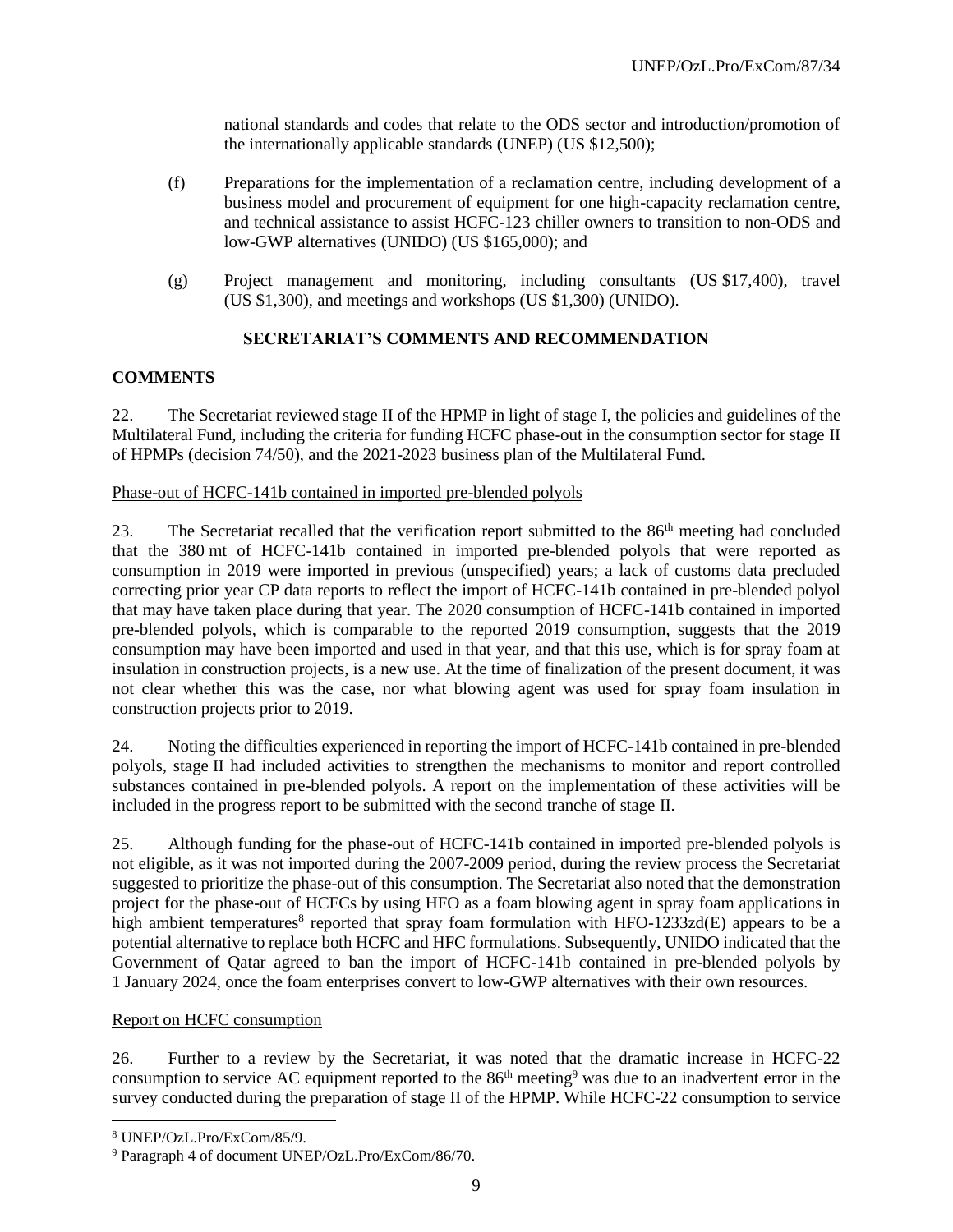national standards and codes that relate to the ODS sector and introduction/promotion of the internationally applicable standards (UNEP) (US \$12,500);

- (f) Preparations for the implementation of a reclamation centre, including development of a business model and procurement of equipment for one high-capacity reclamation centre, and technical assistance to assist HCFC-123 chiller owners to transition to non-ODS and low-GWP alternatives (UNIDO) (US \$165,000); and
- (g) Project management and monitoring, including consultants (US \$17,400), travel (US \$1,300), and meetings and workshops (US \$1,300) (UNIDO).

## **SECRETARIAT'S COMMENTS AND RECOMMENDATION**

### **COMMENTS**

22. The Secretariat reviewed stage II of the HPMP in light of stage I, the policies and guidelines of the Multilateral Fund, including the criteria for funding HCFC phase-out in the consumption sector for stage II of HPMPs (decision 74/50), and the 2021-2023 business plan of the Multilateral Fund.

#### Phase-out of HCFC-141b contained in imported pre-blended polyols

23. The Secretariat recalled that the verification report submitted to the 86<sup>th</sup> meeting had concluded that the 380 mt of HCFC-141b contained in imported pre-blended polyols that were reported as consumption in 2019 were imported in previous (unspecified) years; a lack of customs data precluded correcting prior year CP data reports to reflect the import of HCFC-141b contained in pre-blended polyol that may have taken place during that year. The 2020 consumption of HCFC-141b contained in imported pre-blended polyols, which is comparable to the reported 2019 consumption, suggests that the 2019 consumption may have been imported and used in that year, and that this use, which is for spray foam at insulation in construction projects, is a new use. At the time of finalization of the present document, it was not clear whether this was the case, nor what blowing agent was used for spray foam insulation in construction projects prior to 2019.

24. Noting the difficulties experienced in reporting the import of HCFC-141b contained in pre-blended polyols, stage II had included activities to strengthen the mechanisms to monitor and report controlled substances contained in pre-blended polyols. A report on the implementation of these activities will be included in the progress report to be submitted with the second tranche of stage II.

25. Although funding for the phase-out of HCFC-141b contained in imported pre-blended polyols is not eligible, as it was not imported during the 2007-2009 period, during the review process the Secretariat suggested to prioritize the phase-out of this consumption. The Secretariat also noted that the demonstration project for the phase-out of HCFCs by using HFO as a foam blowing agent in spray foam applications in high ambient temperatures<sup>8</sup> reported that spray foam formulation with HFO-1233zd(E) appears to be a potential alternative to replace both HCFC and HFC formulations. Subsequently, UNIDO indicated that the Government of Qatar agreed to ban the import of HCFC-141b contained in pre-blended polyols by 1 January 2024, once the foam enterprises convert to low-GWP alternatives with their own resources.

### Report on HCFC consumption

26. Further to a review by the Secretariat, it was noted that the dramatic increase in HCFC-22 consumption to service AC equipment reported to the  $86<sup>th</sup>$  meeting<sup>9</sup> was due to an inadvertent error in the survey conducted during the preparation of stage II of the HPMP. While HCFC-22 consumption to service

 $\overline{a}$ 

<sup>8</sup> UNEP/OzL.Pro/ExCom/85/9.

<sup>9</sup> Paragraph 4 of document UNEP/OzL.Pro/ExCom/86/70.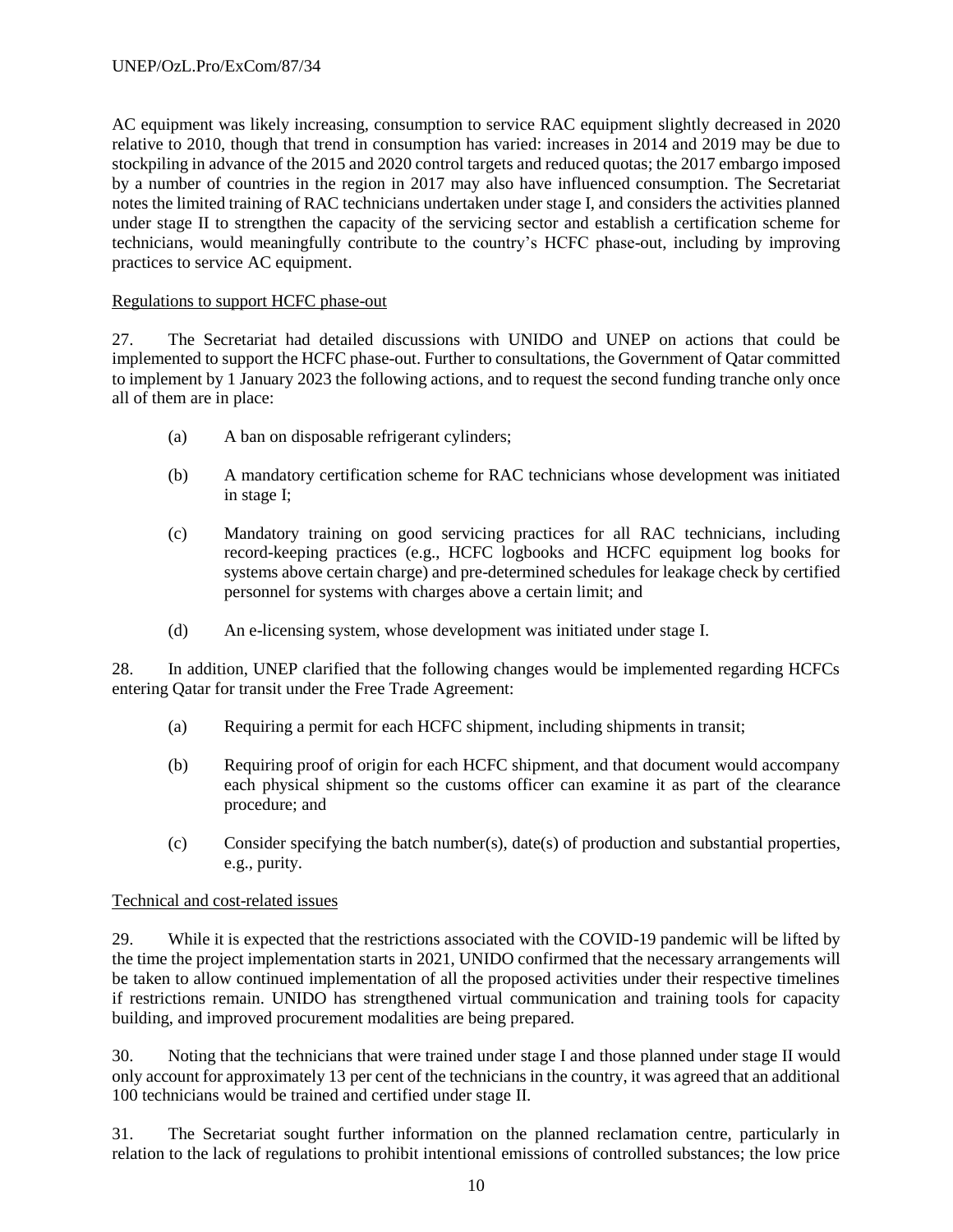AC equipment was likely increasing, consumption to service RAC equipment slightly decreased in 2020 relative to 2010, though that trend in consumption has varied: increases in 2014 and 2019 may be due to stockpiling in advance of the 2015 and 2020 control targets and reduced quotas; the 2017 embargo imposed by a number of countries in the region in 2017 may also have influenced consumption. The Secretariat notes the limited training of RAC technicians undertaken under stage I, and considers the activities planned under stage II to strengthen the capacity of the servicing sector and establish a certification scheme for technicians, would meaningfully contribute to the country's HCFC phase-out, including by improving practices to service AC equipment.

# Regulations to support HCFC phase-out

27. The Secretariat had detailed discussions with UNIDO and UNEP on actions that could be implemented to support the HCFC phase-out. Further to consultations, the Government of Qatar committed to implement by 1 January 2023 the following actions, and to request the second funding tranche only once all of them are in place:

- (a) A ban on disposable refrigerant cylinders;
- (b) A mandatory certification scheme for RAC technicians whose development was initiated in stage I;
- (c) Mandatory training on good servicing practices for all RAC technicians, including record-keeping practices (e.g., HCFC logbooks and HCFC equipment log books for systems above certain charge) and pre-determined schedules for leakage check by certified personnel for systems with charges above a certain limit; and
- (d) An e-licensing system, whose development was initiated under stage I.

28. In addition, UNEP clarified that the following changes would be implemented regarding HCFCs entering Qatar for transit under the Free Trade Agreement:

- (a) Requiring a permit for each HCFC shipment, including shipments in transit;
- (b) Requiring proof of origin for each HCFC shipment, and that document would accompany each physical shipment so the customs officer can examine it as part of the clearance procedure; and
- (c) Consider specifying the batch number(s), date(s) of production and substantial properties, e.g., purity.

## Technical and cost-related issues

29. While it is expected that the restrictions associated with the COVID-19 pandemic will be lifted by the time the project implementation starts in 2021, UNIDO confirmed that the necessary arrangements will be taken to allow continued implementation of all the proposed activities under their respective timelines if restrictions remain. UNIDO has strengthened virtual communication and training tools for capacity building, and improved procurement modalities are being prepared.

30. Noting that the technicians that were trained under stage I and those planned under stage II would only account for approximately 13 per cent of the technicians in the country, it was agreed that an additional 100 technicians would be trained and certified under stage II.

31. The Secretariat sought further information on the planned reclamation centre, particularly in relation to the lack of regulations to prohibit intentional emissions of controlled substances; the low price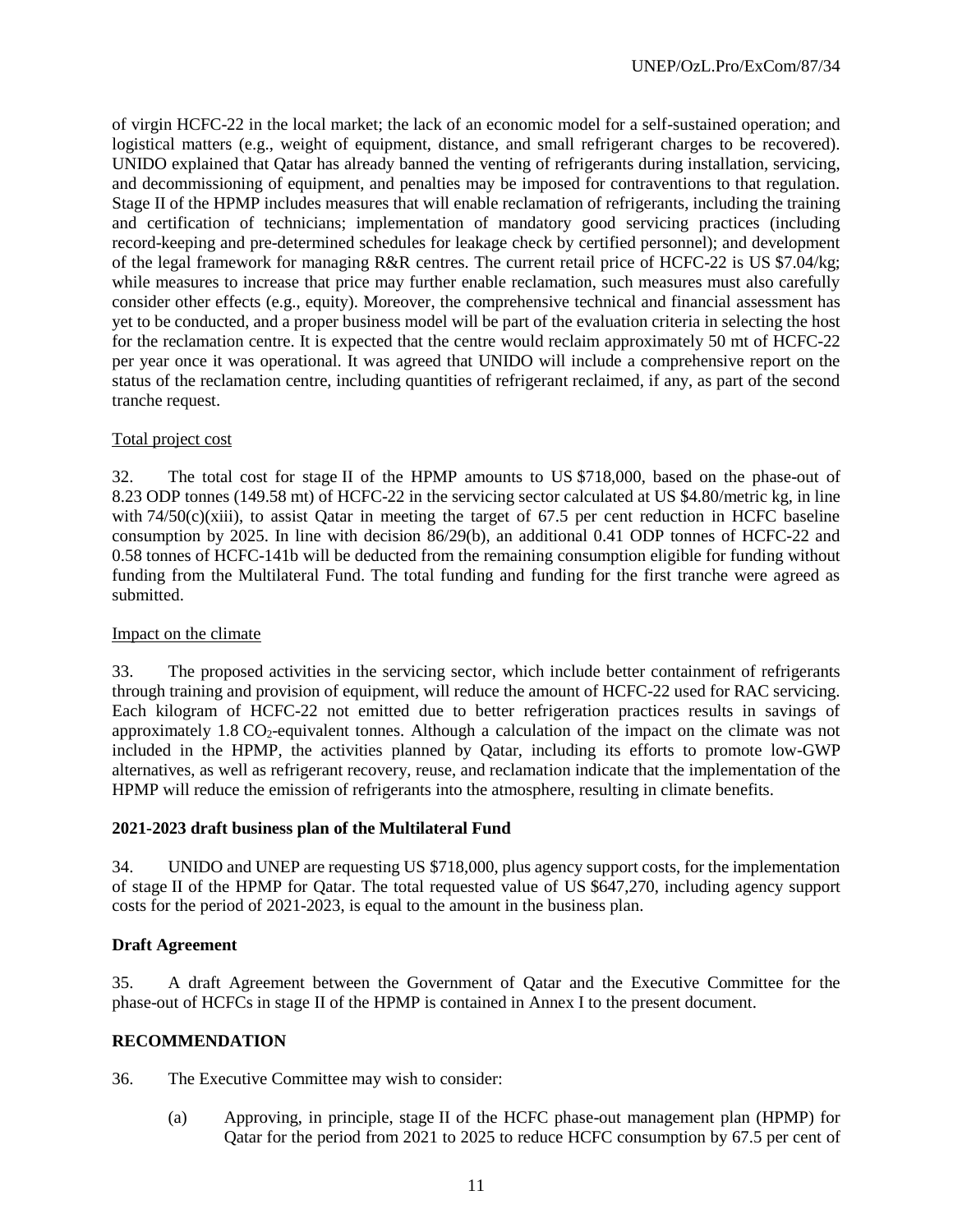of virgin HCFC-22 in the local market; the lack of an economic model for a self-sustained operation; and logistical matters (e.g., weight of equipment, distance, and small refrigerant charges to be recovered). UNIDO explained that Qatar has already banned the venting of refrigerants during installation, servicing, and decommissioning of equipment, and penalties may be imposed for contraventions to that regulation. Stage II of the HPMP includes measures that will enable reclamation of refrigerants, including the training and certification of technicians; implementation of mandatory good servicing practices (including record-keeping and pre-determined schedules for leakage check by certified personnel); and development of the legal framework for managing R&R centres. The current retail price of HCFC-22 is US \$7.04/kg; while measures to increase that price may further enable reclamation, such measures must also carefully consider other effects (e.g., equity). Moreover, the comprehensive technical and financial assessment has yet to be conducted, and a proper business model will be part of the evaluation criteria in selecting the host for the reclamation centre. It is expected that the centre would reclaim approximately 50 mt of HCFC-22 per year once it was operational. It was agreed that UNIDO will include a comprehensive report on the status of the reclamation centre, including quantities of refrigerant reclaimed, if any, as part of the second tranche request.

### Total project cost

32. The total cost for stage II of the HPMP amounts to US \$718,000, based on the phase-out of 8.23 ODP tonnes (149.58 mt) of HCFC-22 in the servicing sector calculated at US \$4.80/metric kg, in line with  $74/50(c)$ (xiii), to assist Oatar in meeting the target of 67.5 per cent reduction in HCFC baseline consumption by 2025. In line with decision 86/29(b), an additional 0.41 ODP tonnes of HCFC-22 and 0.58 tonnes of HCFC-141b will be deducted from the remaining consumption eligible for funding without funding from the Multilateral Fund. The total funding and funding for the first tranche were agreed as submitted.

## Impact on the climate

33. The proposed activities in the servicing sector, which include better containment of refrigerants through training and provision of equipment, will reduce the amount of HCFC-22 used for RAC servicing. Each kilogram of HCFC-22 not emitted due to better refrigeration practices results in savings of approximately  $1.8 \text{ CO}_2$ -equivalent tonnes. Although a calculation of the impact on the climate was not included in the HPMP, the activities planned by Qatar, including its efforts to promote low-GWP alternatives, as well as refrigerant recovery, reuse, and reclamation indicate that the implementation of the HPMP will reduce the emission of refrigerants into the atmosphere, resulting in climate benefits.

### **2021-2023 draft business plan of the Multilateral Fund**

34. UNIDO and UNEP are requesting US \$718,000, plus agency support costs, for the implementation of stage II of the HPMP for Qatar. The total requested value of US \$647,270, including agency support costs for the period of 2021-2023, is equal to the amount in the business plan.

### **Draft Agreement**

35. A draft Agreement between the Government of Qatar and the Executive Committee for the phase-out of HCFCs in stage II of the HPMP is contained in Annex I to the present document.

### **RECOMMENDATION**

36. The Executive Committee may wish to consider:

(a) Approving, in principle, stage II of the HCFC phase-out management plan (HPMP) for Qatar for the period from 2021 to 2025 to reduce HCFC consumption by 67.5 per cent of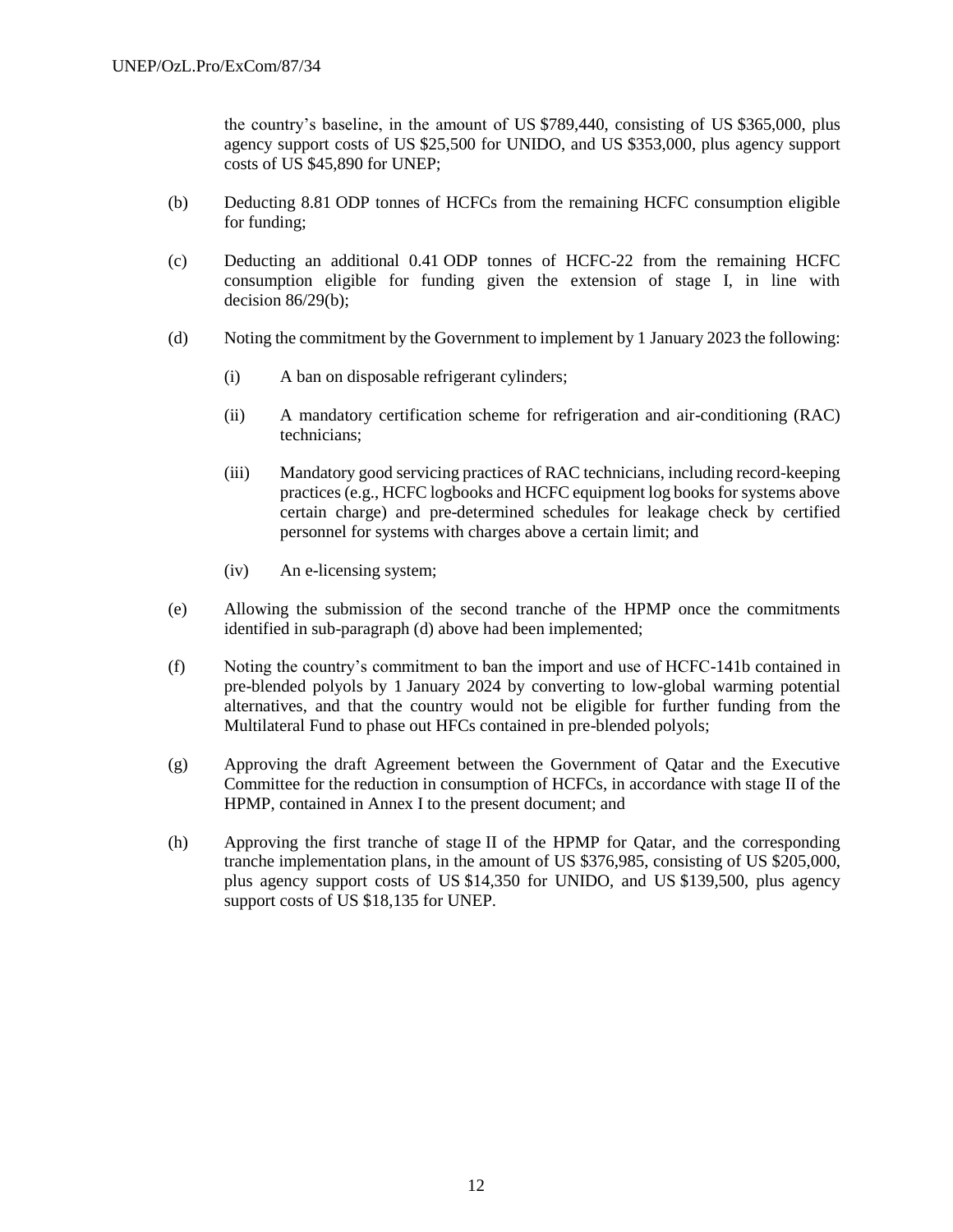the country's baseline, in the amount of US \$789,440, consisting of US \$365,000, plus agency support costs of US \$25,500 for UNIDO, and US \$353,000, plus agency support costs of US \$45,890 for UNEP;

- (b) Deducting 8.81 ODP tonnes of HCFCs from the remaining HCFC consumption eligible for funding;
- (c) Deducting an additional 0.41 ODP tonnes of HCFC-22 from the remaining HCFC consumption eligible for funding given the extension of stage I, in line with decision 86/29(b);
- (d) Noting the commitment by the Government to implement by 1 January 2023 the following:
	- (i) A ban on disposable refrigerant cylinders;
	- (ii) A mandatory certification scheme for refrigeration and air-conditioning (RAC) technicians;
	- (iii) Mandatory good servicing practices of RAC technicians, including record-keeping practices (e.g., HCFC logbooks and HCFC equipment log books for systems above certain charge) and pre-determined schedules for leakage check by certified personnel for systems with charges above a certain limit; and
	- (iv) An e-licensing system;
- (e) Allowing the submission of the second tranche of the HPMP once the commitments identified in sub-paragraph (d) above had been implemented;
- (f) Noting the country's commitment to ban the import and use of HCFC-141b contained in pre-blended polyols by 1 January 2024 by converting to low-global warming potential alternatives, and that the country would not be eligible for further funding from the Multilateral Fund to phase out HFCs contained in pre-blended polyols;
- (g) Approving the draft Agreement between the Government of Qatar and the Executive Committee for the reduction in consumption of HCFCs, in accordance with stage II of the HPMP, contained in Annex I to the present document; and
- (h) Approving the first tranche of stage II of the HPMP for Qatar, and the corresponding tranche implementation plans, in the amount of US \$376,985, consisting of US \$205,000, plus agency support costs of US \$14,350 for UNIDO, and US \$139,500, plus agency support costs of US \$18,135 for UNEP.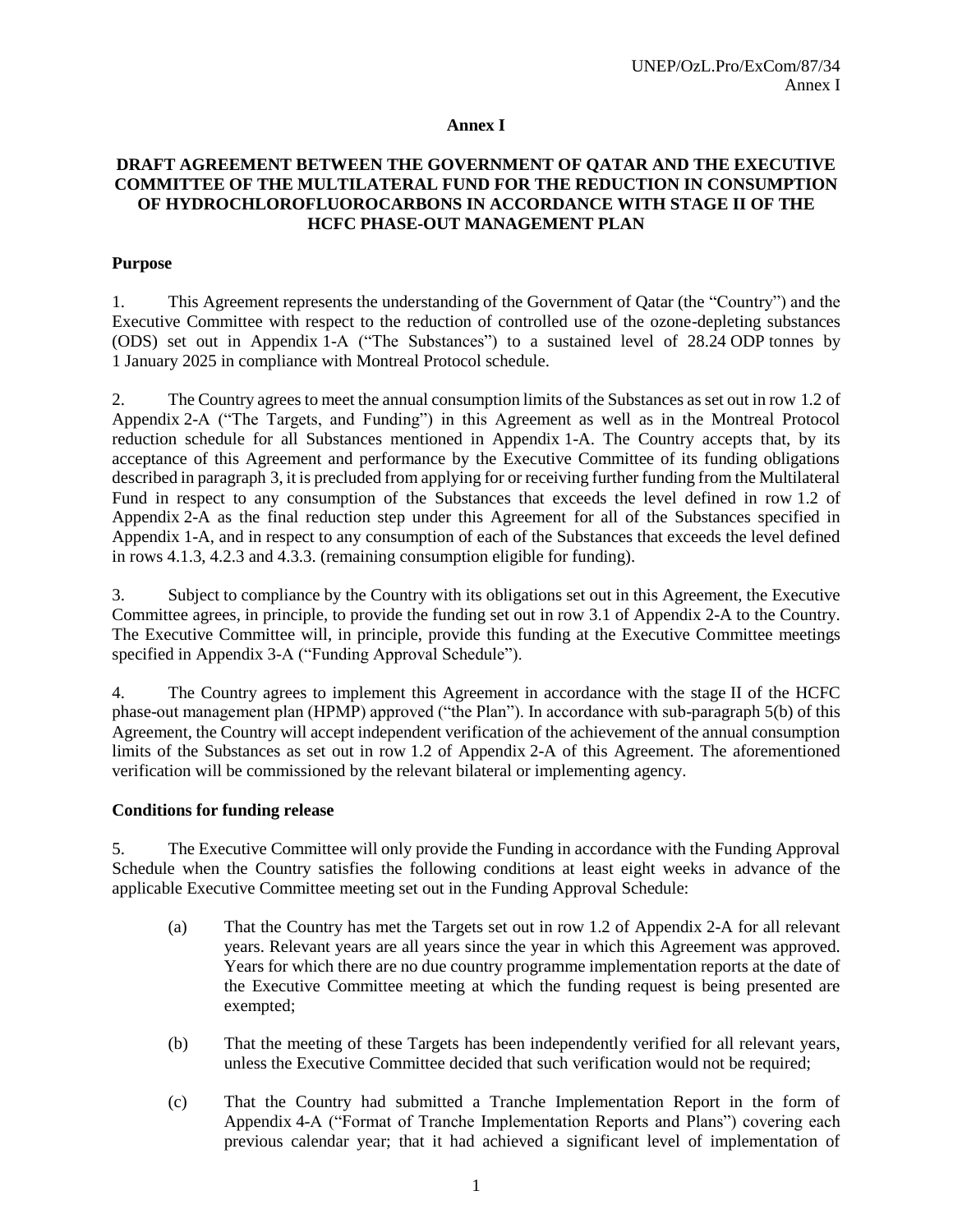### **Annex I**

## **DRAFT AGREEMENT BETWEEN THE GOVERNMENT OF QATAR AND THE EXECUTIVE COMMITTEE OF THE MULTILATERAL FUND FOR THE REDUCTION IN CONSUMPTION OF HYDROCHLOROFLUOROCARBONS IN ACCORDANCE WITH STAGE II OF THE HCFC PHASE-OUT MANAGEMENT PLAN**

### **Purpose**

1. This Agreement represents the understanding of the Government of Qatar (the "Country") and the Executive Committee with respect to the reduction of controlled use of the ozone-depleting substances (ODS) set out in Appendix 1-A ("The Substances") to a sustained level of 28.24 ODP tonnes by 1 January 2025 in compliance with Montreal Protocol schedule.

2. The Country agrees to meet the annual consumption limits of the Substances as set out in row 1.2 of Appendix 2-A ("The Targets, and Funding") in this Agreement as well as in the Montreal Protocol reduction schedule for all Substances mentioned in Appendix 1-A. The Country accepts that, by its acceptance of this Agreement and performance by the Executive Committee of its funding obligations described in paragraph 3, it is precluded from applying for or receiving further funding from the Multilateral Fund in respect to any consumption of the Substances that exceeds the level defined in row 1.2 of Appendix 2-A as the final reduction step under this Agreement for all of the Substances specified in Appendix 1-A, and in respect to any consumption of each of the Substances that exceeds the level defined in rows 4.1.3, 4.2.3 and 4.3.3. (remaining consumption eligible for funding).

3. Subject to compliance by the Country with its obligations set out in this Agreement, the Executive Committee agrees, in principle, to provide the funding set out in row 3.1 of Appendix 2-A to the Country. The Executive Committee will, in principle, provide this funding at the Executive Committee meetings specified in Appendix 3-A ("Funding Approval Schedule").

4. The Country agrees to implement this Agreement in accordance with the stage II of the HCFC phase-out management plan (HPMP) approved ("the Plan"). In accordance with sub-paragraph 5(b) of this Agreement, the Country will accept independent verification of the achievement of the annual consumption limits of the Substances as set out in row 1.2 of Appendix 2-A of this Agreement. The aforementioned verification will be commissioned by the relevant bilateral or implementing agency.

### **Conditions for funding release**

5. The Executive Committee will only provide the Funding in accordance with the Funding Approval Schedule when the Country satisfies the following conditions at least eight weeks in advance of the applicable Executive Committee meeting set out in the Funding Approval Schedule:

- (a) That the Country has met the Targets set out in row 1.2 of Appendix 2-A for all relevant years. Relevant years are all years since the year in which this Agreement was approved. Years for which there are no due country programme implementation reports at the date of the Executive Committee meeting at which the funding request is being presented are exempted;
- (b) That the meeting of these Targets has been independently verified for all relevant years, unless the Executive Committee decided that such verification would not be required;
- (c) That the Country had submitted a Tranche Implementation Report in the form of Appendix 4-A ("Format of Tranche Implementation Reports and Plans") covering each previous calendar year; that it had achieved a significant level of implementation of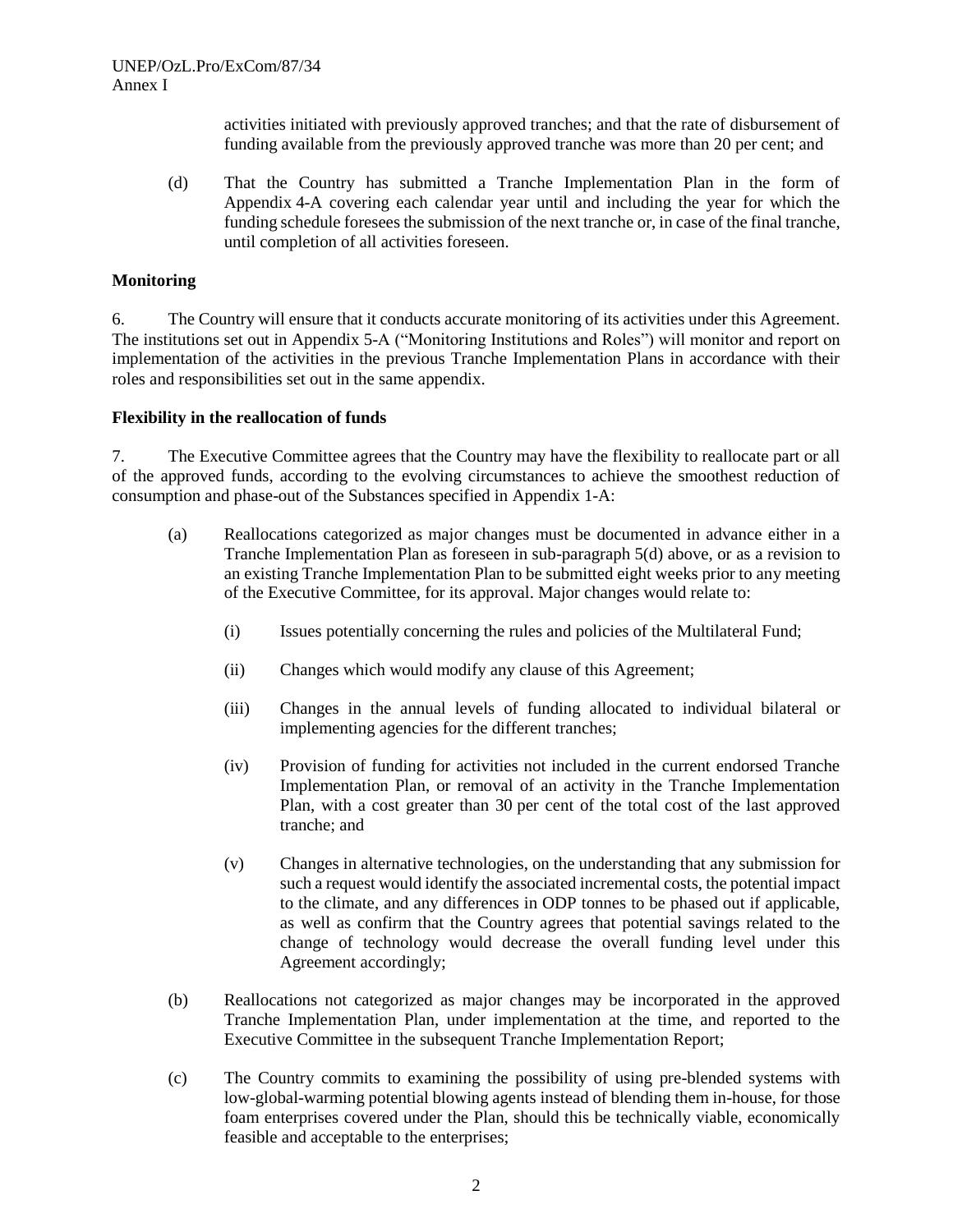activities initiated with previously approved tranches; and that the rate of disbursement of funding available from the previously approved tranche was more than 20 per cent; and

(d) That the Country has submitted a Tranche Implementation Plan in the form of Appendix 4-A covering each calendar year until and including the year for which the funding schedule foresees the submission of the next tranche or, in case of the final tranche, until completion of all activities foreseen.

#### **Monitoring**

6. The Country will ensure that it conducts accurate monitoring of its activities under this Agreement. The institutions set out in Appendix 5-A ("Monitoring Institutions and Roles") will monitor and report on implementation of the activities in the previous Tranche Implementation Plans in accordance with their roles and responsibilities set out in the same appendix.

#### **Flexibility in the reallocation of funds**

7. The Executive Committee agrees that the Country may have the flexibility to reallocate part or all of the approved funds, according to the evolving circumstances to achieve the smoothest reduction of consumption and phase-out of the Substances specified in Appendix 1-A:

- (a) Reallocations categorized as major changes must be documented in advance either in a Tranche Implementation Plan as foreseen in sub-paragraph 5(d) above, or as a revision to an existing Tranche Implementation Plan to be submitted eight weeks prior to any meeting of the Executive Committee, for its approval. Major changes would relate to:
	- (i) Issues potentially concerning the rules and policies of the Multilateral Fund;
	- (ii) Changes which would modify any clause of this Agreement;
	- (iii) Changes in the annual levels of funding allocated to individual bilateral or implementing agencies for the different tranches;
	- (iv) Provision of funding for activities not included in the current endorsed Tranche Implementation Plan, or removal of an activity in the Tranche Implementation Plan, with a cost greater than 30 per cent of the total cost of the last approved tranche; and
	- (v) Changes in alternative technologies, on the understanding that any submission for such a request would identify the associated incremental costs, the potential impact to the climate, and any differences in ODP tonnes to be phased out if applicable, as well as confirm that the Country agrees that potential savings related to the change of technology would decrease the overall funding level under this Agreement accordingly;
- (b) Reallocations not categorized as major changes may be incorporated in the approved Tranche Implementation Plan, under implementation at the time, and reported to the Executive Committee in the subsequent Tranche Implementation Report;
- (c) The Country commits to examining the possibility of using pre-blended systems with low-global-warming potential blowing agents instead of blending them in-house, for those foam enterprises covered under the Plan, should this be technically viable, economically feasible and acceptable to the enterprises;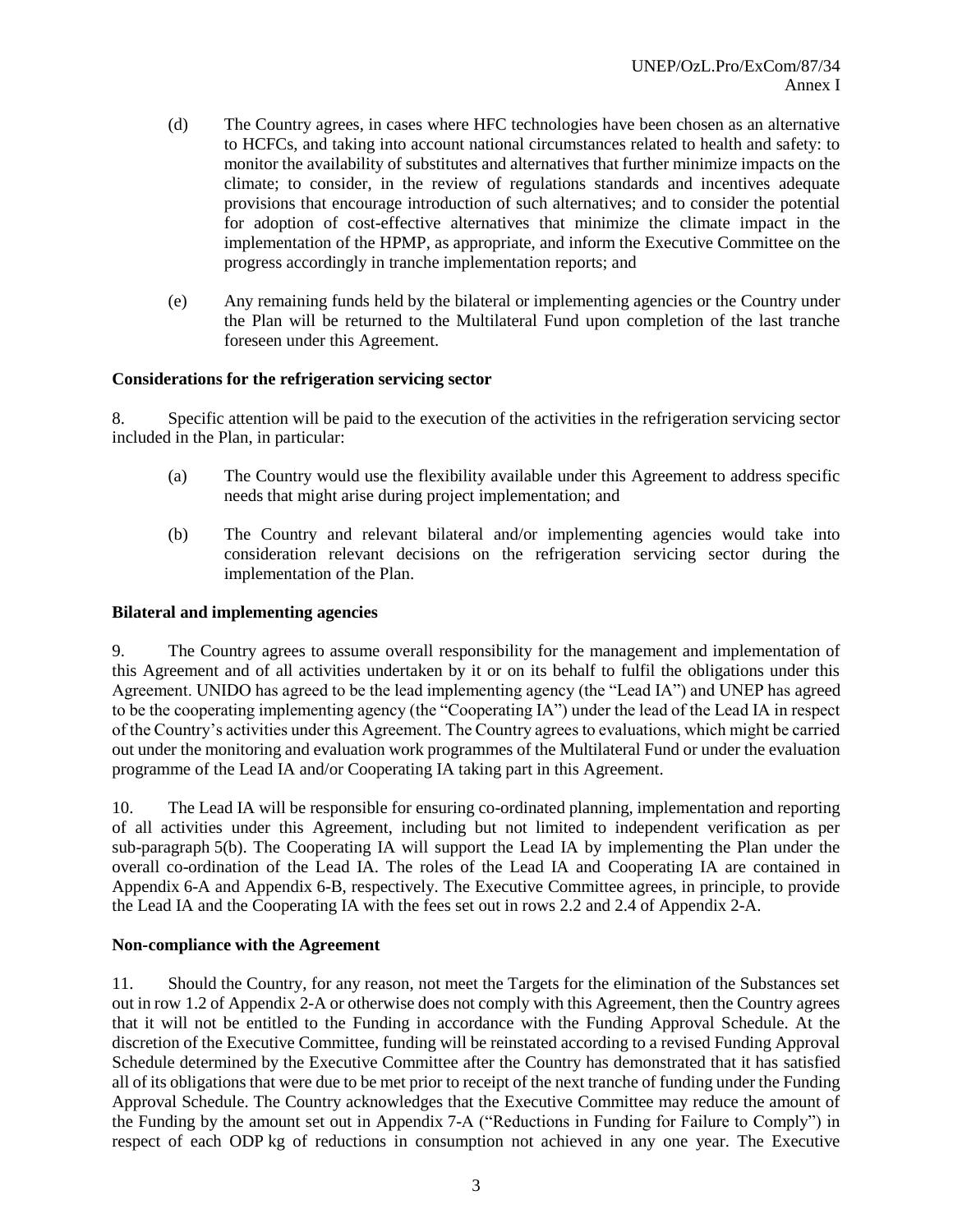- (d) The Country agrees, in cases where HFC technologies have been chosen as an alternative to HCFCs, and taking into account national circumstances related to health and safety: to monitor the availability of substitutes and alternatives that further minimize impacts on the climate; to consider, in the review of regulations standards and incentives adequate provisions that encourage introduction of such alternatives; and to consider the potential for adoption of cost-effective alternatives that minimize the climate impact in the implementation of the HPMP, as appropriate, and inform the Executive Committee on the progress accordingly in tranche implementation reports; and
- (e) Any remaining funds held by the bilateral or implementing agencies or the Country under the Plan will be returned to the Multilateral Fund upon completion of the last tranche foreseen under this Agreement.

### **Considerations for the refrigeration servicing sector**

8. Specific attention will be paid to the execution of the activities in the refrigeration servicing sector included in the Plan, in particular:

- (a) The Country would use the flexibility available under this Agreement to address specific needs that might arise during project implementation; and
- (b) The Country and relevant bilateral and/or implementing agencies would take into consideration relevant decisions on the refrigeration servicing sector during the implementation of the Plan.

#### **Bilateral and implementing agencies**

9. The Country agrees to assume overall responsibility for the management and implementation of this Agreement and of all activities undertaken by it or on its behalf to fulfil the obligations under this Agreement. UNIDO has agreed to be the lead implementing agency (the "Lead IA") and UNEP has agreed to be the cooperating implementing agency (the "Cooperating IA") under the lead of the Lead IA in respect of the Country's activities under this Agreement. The Country agrees to evaluations, which might be carried out under the monitoring and evaluation work programmes of the Multilateral Fund or under the evaluation programme of the Lead IA and/or Cooperating IA taking part in this Agreement.

10. The Lead IA will be responsible for ensuring co-ordinated planning, implementation and reporting of all activities under this Agreement, including but not limited to independent verification as per sub-paragraph 5(b). The Cooperating IA will support the Lead IA by implementing the Plan under the overall co-ordination of the Lead IA. The roles of the Lead IA and Cooperating IA are contained in Appendix 6-A and Appendix 6-B, respectively. The Executive Committee agrees, in principle, to provide the Lead IA and the Cooperating IA with the fees set out in rows 2.2 and 2.4 of Appendix 2-A.

### **Non-compliance with the Agreement**

11. Should the Country, for any reason, not meet the Targets for the elimination of the Substances set out in row 1.2 of Appendix 2-A or otherwise does not comply with this Agreement, then the Country agrees that it will not be entitled to the Funding in accordance with the Funding Approval Schedule. At the discretion of the Executive Committee, funding will be reinstated according to a revised Funding Approval Schedule determined by the Executive Committee after the Country has demonstrated that it has satisfied all of its obligations that were due to be met prior to receipt of the next tranche of funding under the Funding Approval Schedule. The Country acknowledges that the Executive Committee may reduce the amount of the Funding by the amount set out in Appendix 7-A ("Reductions in Funding for Failure to Comply") in respect of each ODP kg of reductions in consumption not achieved in any one year. The Executive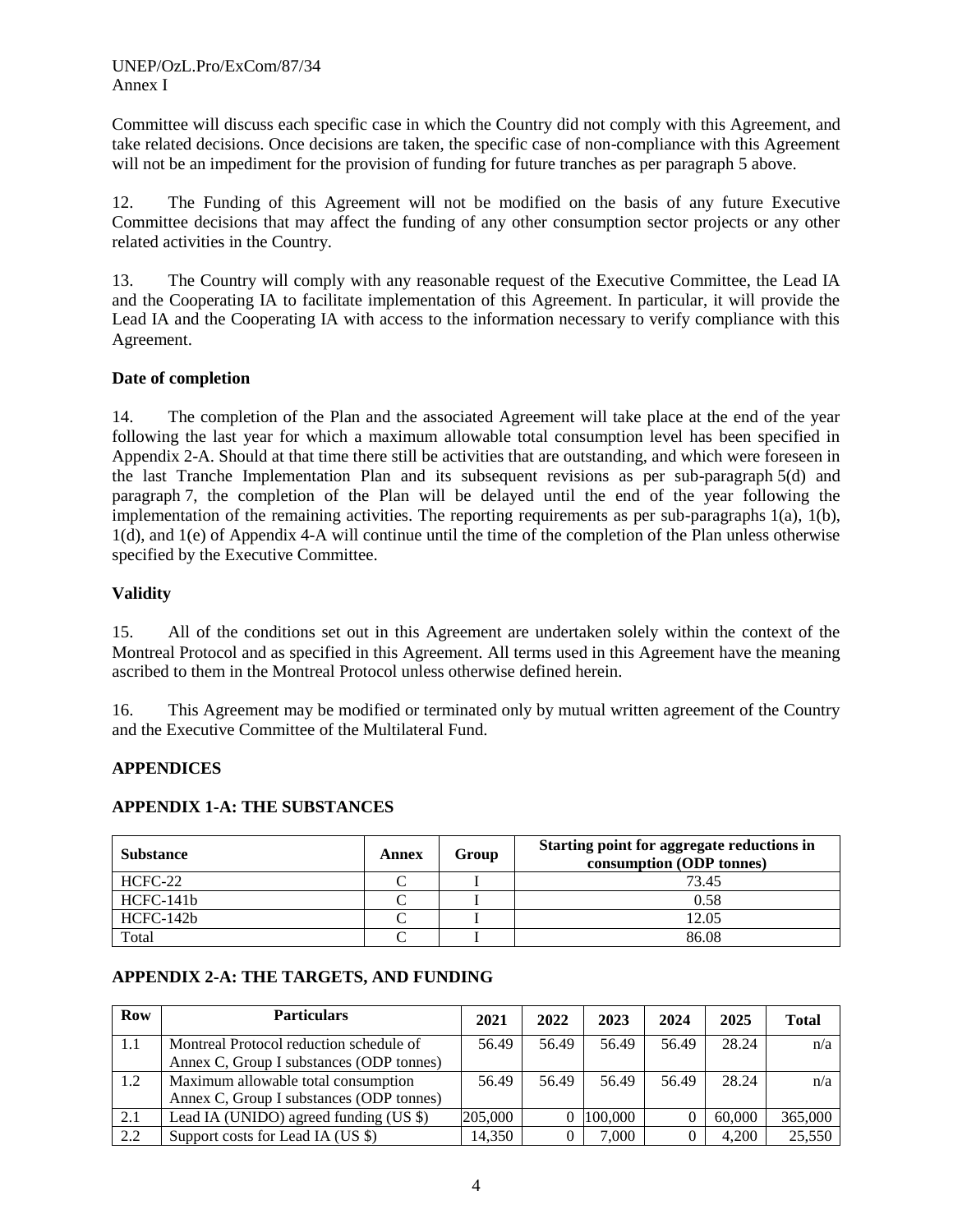Committee will discuss each specific case in which the Country did not comply with this Agreement, and take related decisions. Once decisions are taken, the specific case of non-compliance with this Agreement will not be an impediment for the provision of funding for future tranches as per paragraph 5 above.

12. The Funding of this Agreement will not be modified on the basis of any future Executive Committee decisions that may affect the funding of any other consumption sector projects or any other related activities in the Country.

13. The Country will comply with any reasonable request of the Executive Committee, the Lead IA and the Cooperating IA to facilitate implementation of this Agreement. In particular, it will provide the Lead IA and the Cooperating IA with access to the information necessary to verify compliance with this Agreement.

### **Date of completion**

14. The completion of the Plan and the associated Agreement will take place at the end of the year following the last year for which a maximum allowable total consumption level has been specified in Appendix 2-A. Should at that time there still be activities that are outstanding, and which were foreseen in the last Tranche Implementation Plan and its subsequent revisions as per sub-paragraph 5(d) and paragraph 7, the completion of the Plan will be delayed until the end of the year following the implementation of the remaining activities. The reporting requirements as per sub-paragraphs 1(a), 1(b), 1(d), and 1(e) of Appendix 4-A will continue until the time of the completion of the Plan unless otherwise specified by the Executive Committee.

## **Validity**

15. All of the conditions set out in this Agreement are undertaken solely within the context of the Montreal Protocol and as specified in this Agreement. All terms used in this Agreement have the meaning ascribed to them in the Montreal Protocol unless otherwise defined herein.

16. This Agreement may be modified or terminated only by mutual written agreement of the Country and the Executive Committee of the Multilateral Fund.

### **APPENDICES**

### **APPENDIX 1-A: THE SUBSTANCES**

| <b>Substance</b> | Annex | Group | Starting point for aggregate reductions in<br>consumption (ODP tonnes) |
|------------------|-------|-------|------------------------------------------------------------------------|
| HCFC-22          |       |       | 73.45                                                                  |
| HCFC-141b        |       |       | 0.58                                                                   |
| HCFC-142b        |       |       | 12.05                                                                  |
| Total            |       |       | 86.08                                                                  |

## **APPENDIX 2-A: THE TARGETS, AND FUNDING**

| <b>Row</b> | <b>Particulars</b>                       | 2021    | 2022  | 2023    | 2024  | 2025   | <b>Total</b> |
|------------|------------------------------------------|---------|-------|---------|-------|--------|--------------|
| 1.1        | Montreal Protocol reduction schedule of  | 56.49   | 56.49 | 56.49   | 56.49 | 28.24  | n/a          |
|            | Annex C, Group I substances (ODP tonnes) |         |       |         |       |        |              |
| 1.2        | Maximum allowable total consumption      | 56.49   | 56.49 | 56.49   | 56.49 | 28.24  | n/a          |
|            | Annex C, Group I substances (ODP tonnes) |         |       |         |       |        |              |
| 2.1        | Lead IA (UNIDO) agreed funding (US \$)   | 205,000 |       | 100,000 |       | 60,000 | 365,000      |
| 2.2        | Support costs for Lead IA (US \$)        | 14,350  |       | 7.000   |       | 4.200  | 25,550       |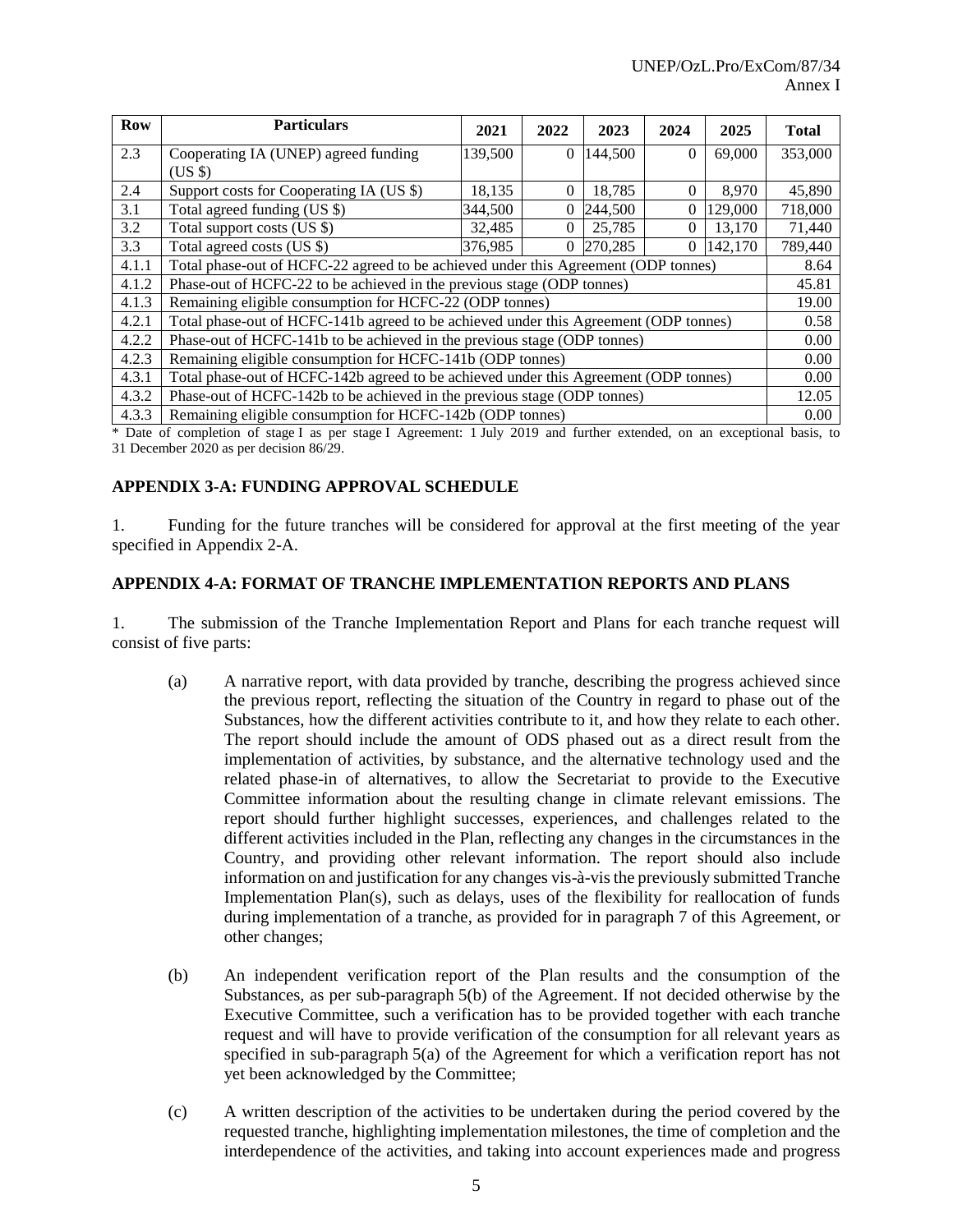| <b>Row</b> | <b>Particulars</b>                                                                   | 2021    | 2022 | 2023    | 2024     | 2025    | <b>Total</b> |
|------------|--------------------------------------------------------------------------------------|---------|------|---------|----------|---------|--------------|
| 2.3        | Cooperating IA (UNEP) agreed funding                                                 | 139,500 | 0    | 144,500 | $\Omega$ | 69,000  | 353,000      |
|            | (USS)                                                                                |         |      |         |          |         |              |
| 2.4        | Support costs for Cooperating IA (US \$)                                             | 18,135  | 0    | 18,785  | $\Omega$ | 8,970   | 45,890       |
| 3.1        | Total agreed funding (US \$)                                                         | 344,500 | 0    | 244,500 | $\Omega$ | 129,000 | 718,000      |
| 3.2        | Total support costs (US \$)                                                          | 32,485  | 0    | 25,785  | $\Omega$ | 13,170  | 71,440       |
| 3.3        | Total agreed costs (US \$)                                                           | 376,985 | 0    | 270,285 | 0        | 142,170 | 789,440      |
| 4.1.1      | Total phase-out of HCFC-22 agreed to be achieved under this Agreement (ODP tonnes)   |         |      |         |          |         |              |
| 4.1.2      | Phase-out of HCFC-22 to be achieved in the previous stage (ODP tonnes)               |         |      |         |          |         | 45.81        |
| 4.1.3      | Remaining eligible consumption for HCFC-22 (ODP tonnes)                              |         |      |         |          |         | 19.00        |
| 4.2.1      | Total phase-out of HCFC-141b agreed to be achieved under this Agreement (ODP tonnes) |         |      |         |          |         | 0.58         |
| 4.2.2      | Phase-out of HCFC-141b to be achieved in the previous stage (ODP tonnes)             |         |      |         |          |         | 0.00         |
| 4.2.3      | Remaining eligible consumption for HCFC-141b (ODP tonnes)                            |         |      |         |          |         | 0.00         |
| 4.3.1      | Total phase-out of HCFC-142b agreed to be achieved under this Agreement (ODP tonnes) |         |      |         |          |         | 0.00         |
| 4.3.2      | Phase-out of HCFC-142b to be achieved in the previous stage (ODP tonnes)             |         |      |         |          |         | 12.05        |
| 4.3.3      | Remaining eligible consumption for HCFC-142b (ODP tonnes)                            |         |      |         |          |         | 0.00         |

\* Date of completion of stage I as per stage I Agreement: 1 July 2019 and further extended, on an exceptional basis, to 31 December 2020 as per decision 86/29.

# **APPENDIX 3-A: FUNDING APPROVAL SCHEDULE**

1. Funding for the future tranches will be considered for approval at the first meeting of the year specified in Appendix 2-A.

#### **APPENDIX 4-A: FORMAT OF TRANCHE IMPLEMENTATION REPORTS AND PLANS**

1. The submission of the Tranche Implementation Report and Plans for each tranche request will consist of five parts:

- (a) A narrative report, with data provided by tranche, describing the progress achieved since the previous report, reflecting the situation of the Country in regard to phase out of the Substances, how the different activities contribute to it, and how they relate to each other. The report should include the amount of ODS phased out as a direct result from the implementation of activities, by substance, and the alternative technology used and the related phase-in of alternatives, to allow the Secretariat to provide to the Executive Committee information about the resulting change in climate relevant emissions. The report should further highlight successes, experiences, and challenges related to the different activities included in the Plan, reflecting any changes in the circumstances in the Country, and providing other relevant information. The report should also include information on and justification for any changes vis-à-vis the previously submitted Tranche Implementation Plan(s), such as delays, uses of the flexibility for reallocation of funds during implementation of a tranche, as provided for in paragraph 7 of this Agreement, or other changes;
- (b) An independent verification report of the Plan results and the consumption of the Substances, as per sub-paragraph 5(b) of the Agreement. If not decided otherwise by the Executive Committee, such a verification has to be provided together with each tranche request and will have to provide verification of the consumption for all relevant years as specified in sub-paragraph 5(a) of the Agreement for which a verification report has not yet been acknowledged by the Committee;
- (c) A written description of the activities to be undertaken during the period covered by the requested tranche, highlighting implementation milestones, the time of completion and the interdependence of the activities, and taking into account experiences made and progress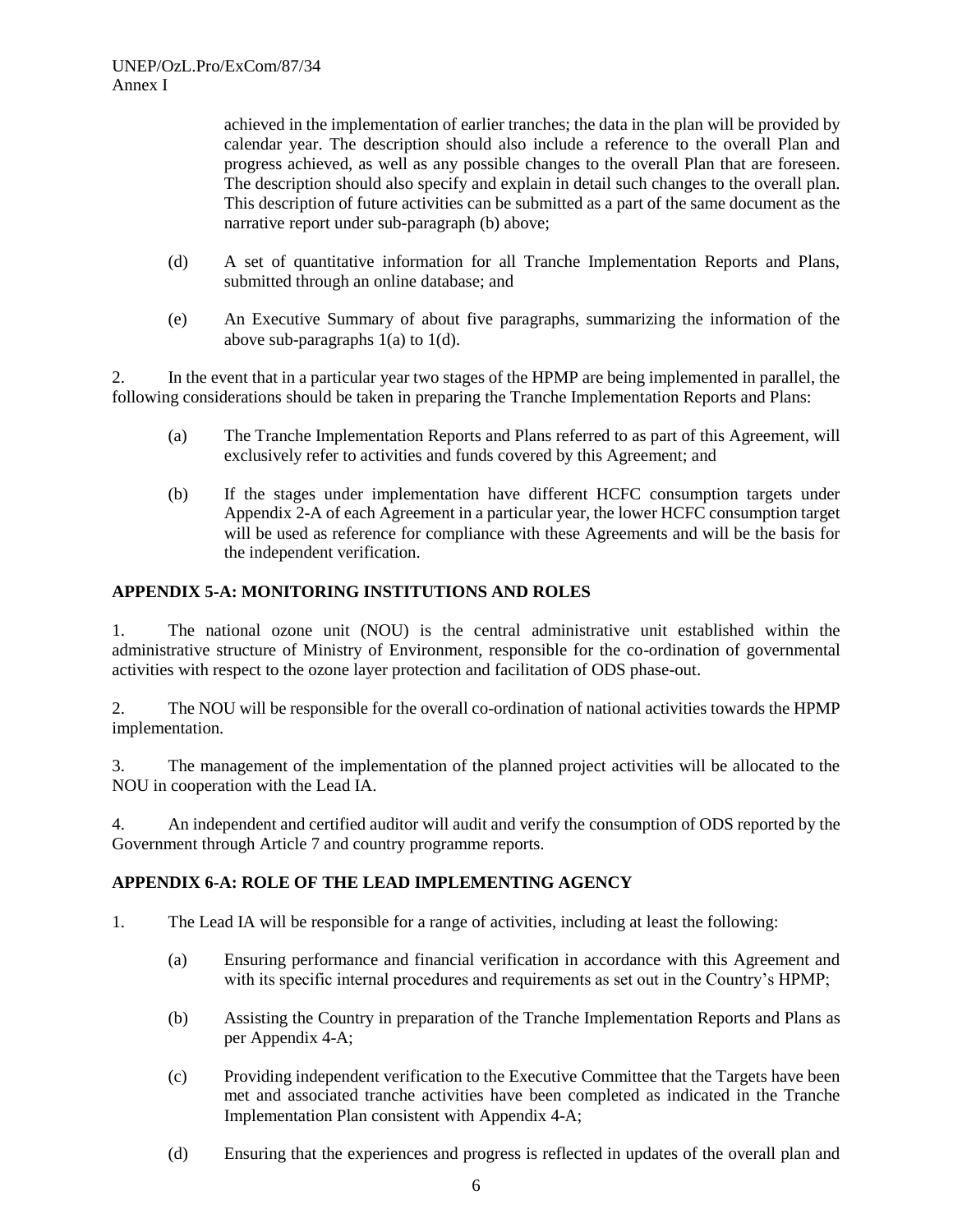achieved in the implementation of earlier tranches; the data in the plan will be provided by calendar year. The description should also include a reference to the overall Plan and progress achieved, as well as any possible changes to the overall Plan that are foreseen. The description should also specify and explain in detail such changes to the overall plan. This description of future activities can be submitted as a part of the same document as the narrative report under sub-paragraph (b) above;

- (d) A set of quantitative information for all Tranche Implementation Reports and Plans, submitted through an online database; and
- (e) An Executive Summary of about five paragraphs, summarizing the information of the above sub-paragraphs 1(a) to 1(d).

2. In the event that in a particular year two stages of the HPMP are being implemented in parallel, the following considerations should be taken in preparing the Tranche Implementation Reports and Plans:

- (a) The Tranche Implementation Reports and Plans referred to as part of this Agreement, will exclusively refer to activities and funds covered by this Agreement; and
- (b) If the stages under implementation have different HCFC consumption targets under Appendix 2-A of each Agreement in a particular year, the lower HCFC consumption target will be used as reference for compliance with these Agreements and will be the basis for the independent verification.

## **APPENDIX 5-A: MONITORING INSTITUTIONS AND ROLES**

1. The national ozone unit (NOU) is the central administrative unit established within the administrative structure of Ministry of Environment, responsible for the co-ordination of governmental activities with respect to the ozone layer protection and facilitation of ODS phase-out.

2. The NOU will be responsible for the overall co-ordination of national activities towards the HPMP implementation.

3. The management of the implementation of the planned project activities will be allocated to the NOU in cooperation with the Lead IA.

4. An independent and certified auditor will audit and verify the consumption of ODS reported by the Government through Article 7 and country programme reports.

# **APPENDIX 6-A: ROLE OF THE LEAD IMPLEMENTING AGENCY**

- 1. The Lead IA will be responsible for a range of activities, including at least the following:
	- (a) Ensuring performance and financial verification in accordance with this Agreement and with its specific internal procedures and requirements as set out in the Country's HPMP;
	- (b) Assisting the Country in preparation of the Tranche Implementation Reports and Plans as per Appendix 4-A;
	- (c) Providing independent verification to the Executive Committee that the Targets have been met and associated tranche activities have been completed as indicated in the Tranche Implementation Plan consistent with Appendix 4-A;
	- (d) Ensuring that the experiences and progress is reflected in updates of the overall plan and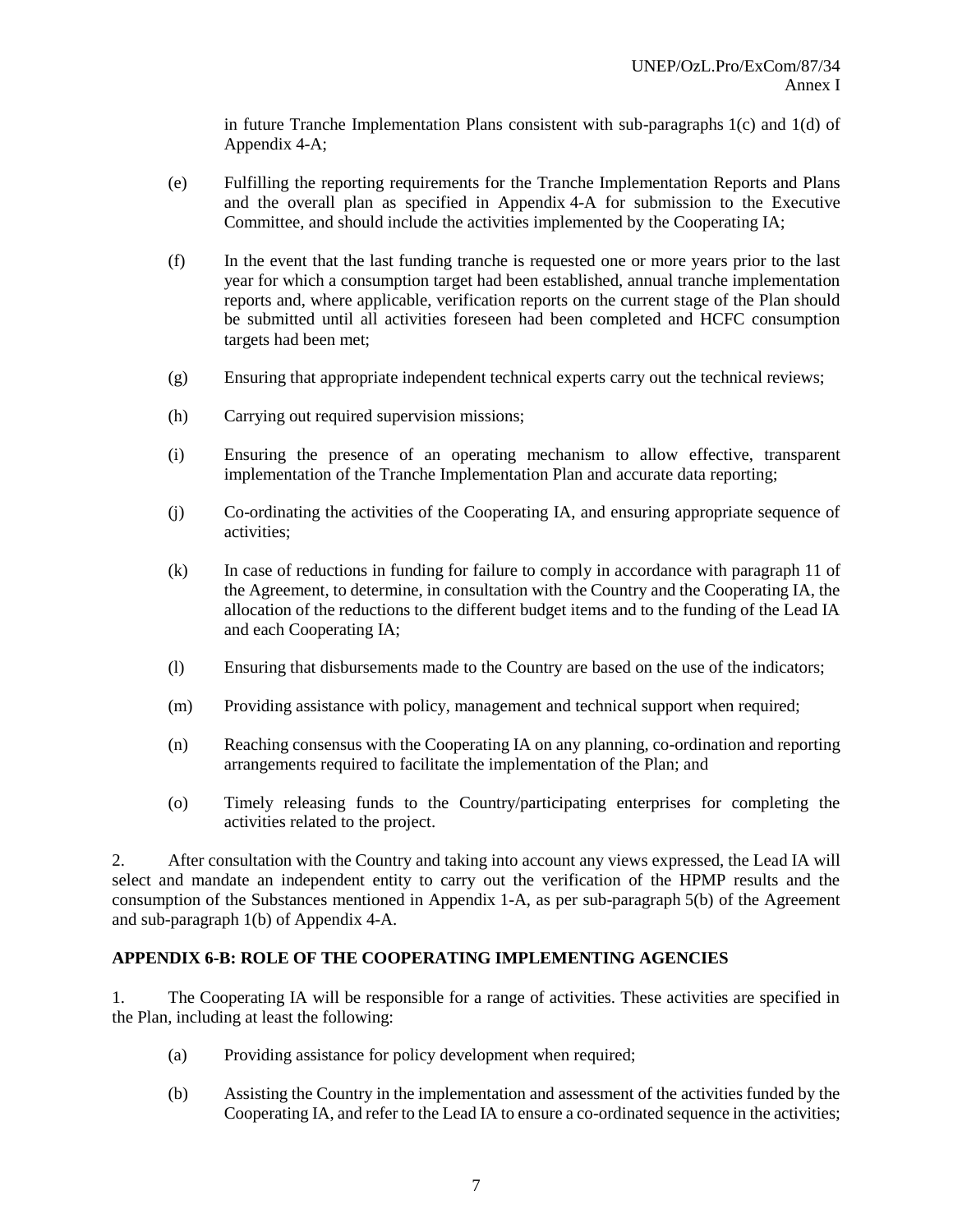in future Tranche Implementation Plans consistent with sub-paragraphs  $1(c)$  and  $1(d)$  of Appendix 4-A;

- (e) Fulfilling the reporting requirements for the Tranche Implementation Reports and Plans and the overall plan as specified in Appendix 4-A for submission to the Executive Committee, and should include the activities implemented by the Cooperating IA;
- (f) In the event that the last funding tranche is requested one or more years prior to the last year for which a consumption target had been established, annual tranche implementation reports and, where applicable, verification reports on the current stage of the Plan should be submitted until all activities foreseen had been completed and HCFC consumption targets had been met;
- (g) Ensuring that appropriate independent technical experts carry out the technical reviews;
- (h) Carrying out required supervision missions;
- (i) Ensuring the presence of an operating mechanism to allow effective, transparent implementation of the Tranche Implementation Plan and accurate data reporting;
- (j) Co-ordinating the activities of the Cooperating IA, and ensuring appropriate sequence of activities;
- (k) In case of reductions in funding for failure to comply in accordance with paragraph 11 of the Agreement, to determine, in consultation with the Country and the Cooperating IA, the allocation of the reductions to the different budget items and to the funding of the Lead IA and each Cooperating IA;
- (l) Ensuring that disbursements made to the Country are based on the use of the indicators;
- (m) Providing assistance with policy, management and technical support when required;
- (n) Reaching consensus with the Cooperating IA on any planning, co-ordination and reporting arrangements required to facilitate the implementation of the Plan; and
- (o) Timely releasing funds to the Country/participating enterprises for completing the activities related to the project.

2. After consultation with the Country and taking into account any views expressed, the Lead IA will select and mandate an independent entity to carry out the verification of the HPMP results and the consumption of the Substances mentioned in Appendix 1-A, as per sub-paragraph 5(b) of the Agreement and sub-paragraph 1(b) of Appendix 4-A.

# **APPENDIX 6-B: ROLE OF THE COOPERATING IMPLEMENTING AGENCIES**

1. The Cooperating IA will be responsible for a range of activities. These activities are specified in the Plan, including at least the following:

- (a) Providing assistance for policy development when required;
- (b) Assisting the Country in the implementation and assessment of the activities funded by the Cooperating IA, and refer to the Lead IA to ensure a co-ordinated sequence in the activities;